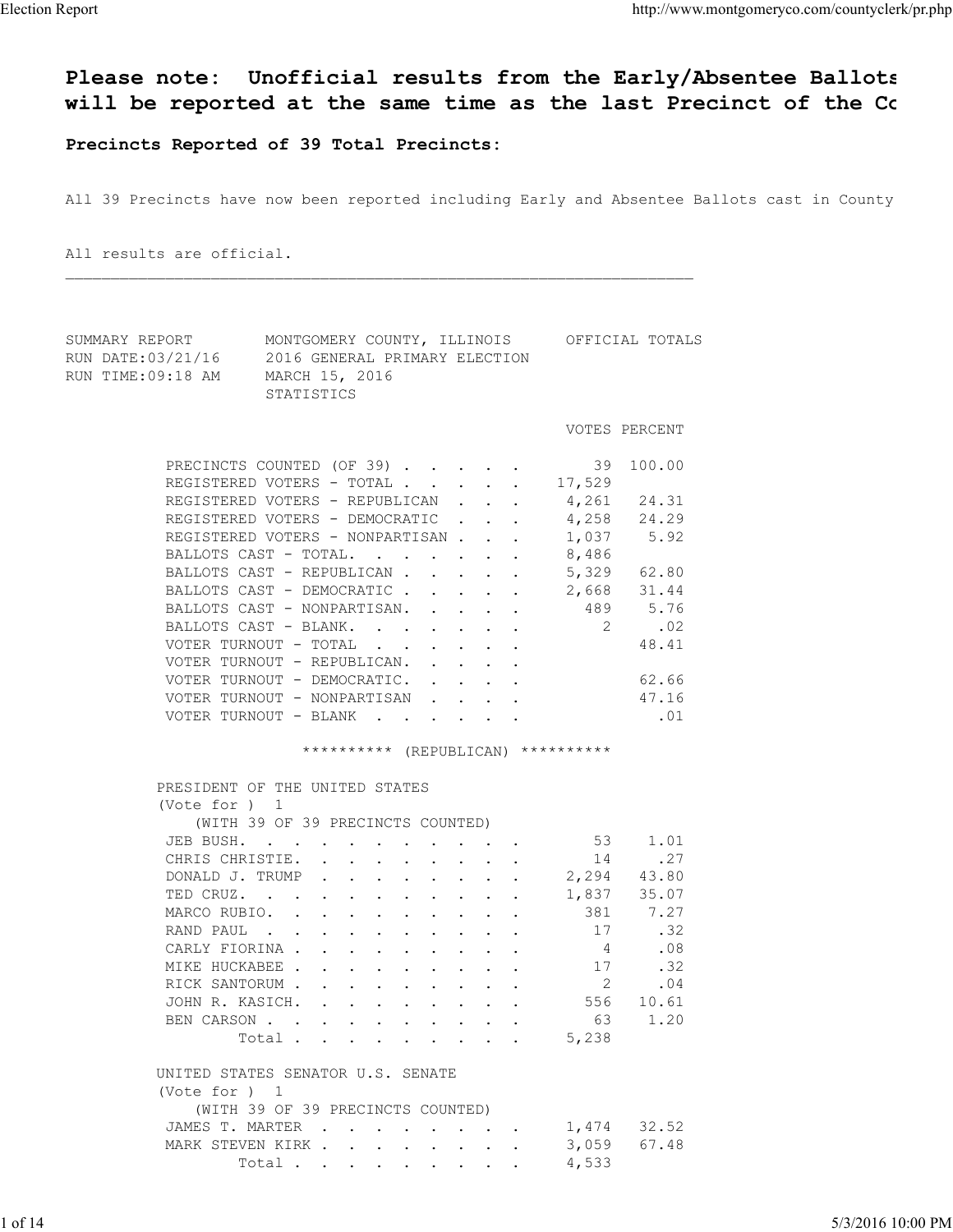## Please note: Unofficial results from the Early/Absentee Ballots will be reported at the same time as the last Precinct of the County Election Report<br>Please note: Unofficial results from the Early/Absentee Ballots<br>Will be reported at the same time as the last Precinct of the Co

Precincts Reported of 39 Total Precincts:

All 39 Precincts have now been reported including Early and Absentee Ballots cast in County

 $\mathcal{L}_\text{max} = \frac{1}{2} \sum_{i=1}^n \mathcal{L}_\text{max} = \frac{1}{2} \sum_{i=1}^n \mathcal{L}_\text{max} = \frac{1}{2} \sum_{i=1}^n \mathcal{L}_\text{max} = \frac{1}{2} \sum_{i=1}^n \mathcal{L}_\text{max} = \frac{1}{2} \sum_{i=1}^n \mathcal{L}_\text{max} = \frac{1}{2} \sum_{i=1}^n \mathcal{L}_\text{max} = \frac{1}{2} \sum_{i=1}^n \mathcal{L}_\text{max} = \frac{1}{2} \sum_{i=$ 

All results are official.

| SUMMARY REPORT<br>RUN DATE:03/21/16<br>RUN TIME:09:18 AM | MONTGOMERY COUNTY, ILLINOIS OFFICIAL TOTALS<br>2016 GENERAL PRIMARY ELECTION<br>MARCH 15, 2016<br>STATISTICS |                |               |                   |
|----------------------------------------------------------|--------------------------------------------------------------------------------------------------------------|----------------|---------------|-------------------|
|                                                          |                                                                                                              |                | VOTES PERCENT |                   |
|                                                          | PRECINCTS COUNTED (OF 39) 39 100.00                                                                          |                |               |                   |
|                                                          | REGISTERED VOTERS - TOTAL 17,529                                                                             |                |               |                   |
|                                                          | REGISTERED VOTERS - REPUBLICAN 4,261                                                                         |                | 24.31         |                   |
|                                                          | REGISTERED VOTERS - DEMOCRATIC 4,258                                                                         |                | 24.29         |                   |
|                                                          | REGISTERED VOTERS - NONPARTISAN 1,037                                                                        |                | 5.92          |                   |
|                                                          | BALLOTS CAST - TOTAL. 8,486                                                                                  |                |               |                   |
|                                                          | BALLOTS CAST - REPUBLICAN 5,329                                                                              |                | 62.80         |                   |
|                                                          | BALLOTS CAST - DEMOCRATIC 2,668                                                                              |                | 31.44         |                   |
|                                                          | BALLOTS CAST - NONPARTISAN. 489                                                                              |                | 5.76          |                   |
|                                                          | BALLOTS CAST - BLANK.                                                                                        | $2 \t 02$      |               |                   |
|                                                          | VOTER TURNOUT - TOTAL                                                                                        |                | 48.41         |                   |
|                                                          | VOTER TURNOUT - REPUBLICAN.                                                                                  |                |               |                   |
|                                                          | VOTER TURNOUT - DEMOCRATIC.                                                                                  |                | 62.66         |                   |
|                                                          | VOTER TURNOUT - NONPARTISAN 47.16                                                                            |                |               |                   |
|                                                          |                                                                                                              |                |               |                   |
|                                                          | ********** (REPUBLICAN) **********                                                                           |                |               |                   |
|                                                          |                                                                                                              |                |               |                   |
|                                                          | PRESIDENT OF THE UNITED STATES                                                                               |                |               |                   |
|                                                          | (Vote for ) 1                                                                                                |                |               |                   |
|                                                          | (WITH 39 OF 39 PRECINCTS COUNTED)                                                                            |                |               |                   |
|                                                          | JEB BUSH.                                                                                                    | 53             | 1.01          |                   |
|                                                          | CHRIS CHRISTIE.                                                                                              | 14             | .27           |                   |
|                                                          | DONALD J. TRUMP                                                                                              | 2,294          | 43.80         |                   |
|                                                          | TED CRUZ.                                                                                                    | 1,837          | 35.07         |                   |
|                                                          | MARCO RUBIO.                                                                                                 | 381            | 7.27          |                   |
|                                                          | RAND PAUL 17                                                                                                 |                | .32           |                   |
|                                                          | CARLY FIORINA 4                                                                                              |                | .08           |                   |
|                                                          | MIKE HUCKABEE                                                                                                | 17             | .32           |                   |
|                                                          | RICK SANTORUM                                                                                                | $\overline{2}$ | .04           |                   |
|                                                          | JOHN R. KASICH.                                                                                              | 556            | 10.61         |                   |
|                                                          | BEN CARSON                                                                                                   |                | 63 1.20       |                   |
|                                                          | Total                                                                                                        | 5,238          |               |                   |
|                                                          | UNITED STATES SENATOR U.S. SENATE                                                                            |                |               |                   |
|                                                          | (Vote for ) 1                                                                                                |                |               |                   |
|                                                          | (WITH 39 OF 39 PRECINCTS COUNTED)                                                                            |                |               |                   |
|                                                          | JAMES T. MARTER                                                                                              |                | 1,474 32.52   |                   |
|                                                          | MARK STEVEN KIRK                                                                                             | 3,059          | 67.48         |                   |
|                                                          | Total                                                                                                        | 4,533          |               |                   |
|                                                          |                                                                                                              |                |               |                   |
| 1 of 14                                                  |                                                                                                              |                |               | 5/3/2016 10:00 PM |
|                                                          |                                                                                                              |                |               |                   |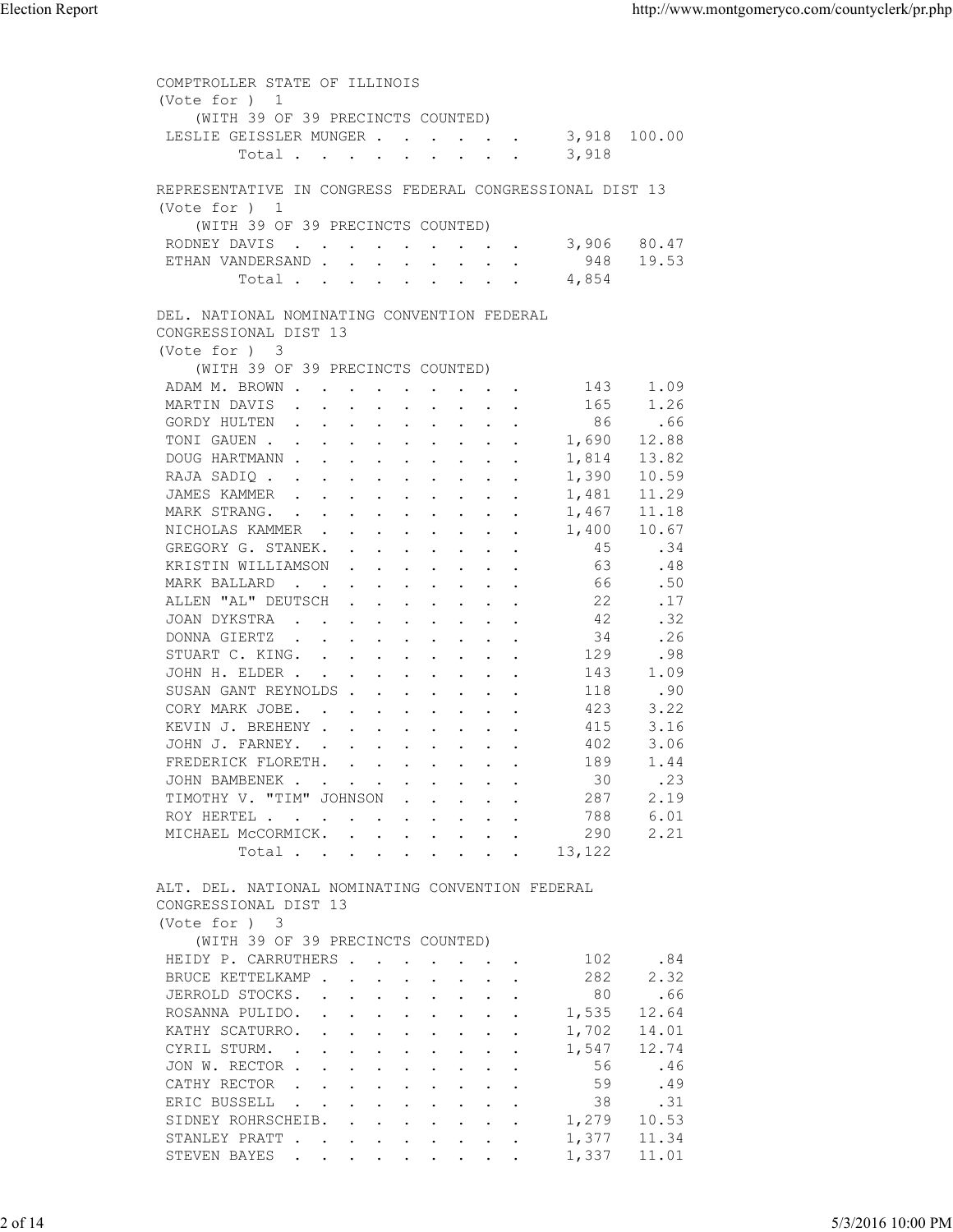| COMPTROLLER STATE OF ILLINOIS<br>(Vote for ) 1<br>(WITH 39 OF 39 PRECINCTS COUNTED)<br>LESLIE GEISSLER MUNGER<br>3,918 100.00<br>3,918<br>Total<br>REPRESENTATIVE IN CONGRESS FEDERAL CONGRESSIONAL DIST 13<br>(Vote for ) 1<br>(WITH 39 OF 39 PRECINCTS COUNTED)<br>3,906 80.47<br>RODNEY DAVIS<br>ETHAN VANDERSAND<br>948 19.53<br>Total<br>4,854<br>DEL. NATIONAL NOMINATING CONVENTION FEDERAL<br>CONGRESSIONAL DIST 13<br>(Vote for ) 3<br>(WITH 39 OF 39 PRECINCTS COUNTED)<br>ADAM M. BROWN<br>143<br>1.09<br>MARTIN DAVIS<br>165<br>1.26<br>86<br>GORDY HULTEN<br>.66<br>TONI GAUEN<br>1,690<br>12.88<br>DOUG HARTMANN<br>13.82<br>1,814<br>1,390<br>10.59<br>RAJA SADIQ<br>JAMES KAMMER<br>11.29<br>1,481<br>MARK STRANG.<br>1,467<br>11.18<br>NICHOLAS KAMMER<br>10.67<br>1,400<br>GREGORY G. STANEK.<br>.34<br>-45<br>.48<br>KRISTIN WILLIAMSON<br>63<br>.50<br>MARK BALLARD<br>66<br>ALLEN "AL" DEUTSCH<br>22<br>.17<br>42<br>.32<br>JOAN DYKSTRA<br>34<br>DONNA GIERTZ<br>.26<br>STUART C. KING.<br>129<br>.98<br>JOHN H. ELDER<br>1.09<br>143<br>.90<br>SUSAN GANT REYNOLDS<br>118<br>3.22<br>CORY MARK JOBE.<br>423<br>3.16<br>KEVIN J. BREHENY<br>415<br>3.06<br>JOHN J. FARNEY.<br>402<br>1.44<br>FREDERICK FLORETH.<br>189<br>JOHN BAMBENEK<br>.23<br>30<br>TIMOTHY V. "TIM" JOHNSON<br>2.19<br>287<br>ROY HERTEL<br>6.01<br>788<br>MICHAEL MCCORMICK.<br>2.21<br>290<br>Total 13,122<br>ALT. DEL. NATIONAL NOMINATING CONVENTION FEDERAL<br>CONGRESSIONAL DIST 13<br>(Vote for ) 3<br>(WITH 39 OF 39 PRECINCTS COUNTED)<br>HEIDY P. CARRUTHERS<br>.84<br>102<br>BRUCE KETTELKAMP<br>2.32<br>282<br>80<br>.66<br>JERROLD STOCKS.<br>ROSANNA PULIDO.<br>1,535<br>12.64<br>KATHY SCATURRO.<br>1,702<br>14.01<br>$\mathbf{r}$ , and $\mathbf{r}$ , and $\mathbf{r}$ , and $\mathbf{r}$<br>CYRIL STURM.<br>1,547<br>12.74<br>JON W. RECTOR<br>56<br>.46<br>CATHY RECTOR<br>59<br>.49<br>$\mathbf{r}$ , $\mathbf{r}$ , $\mathbf{r}$ , $\mathbf{r}$ , $\mathbf{r}$ , $\mathbf{r}$ , $\mathbf{r}$<br>38<br>ERIC BUSSELL<br>.31<br>SIDNEY ROHRSCHEIB.<br>1,279<br>10.53<br>and the contract of the contract of the contract of the contract of the contract of the contract of the contract of the contract of the contract of the contract of the contract of the contract of the contract of the contra<br>STANLEY PRATT<br>1,377<br>11.34<br>STEVEN BAYES<br>1,337<br>11.01<br>2 of 14<br>5/3/2016 10:00 PM | <b>Election Report</b> |  | http://www.montgomeryco.com/countyclerk/pr.php |
|--------------------------------------------------------------------------------------------------------------------------------------------------------------------------------------------------------------------------------------------------------------------------------------------------------------------------------------------------------------------------------------------------------------------------------------------------------------------------------------------------------------------------------------------------------------------------------------------------------------------------------------------------------------------------------------------------------------------------------------------------------------------------------------------------------------------------------------------------------------------------------------------------------------------------------------------------------------------------------------------------------------------------------------------------------------------------------------------------------------------------------------------------------------------------------------------------------------------------------------------------------------------------------------------------------------------------------------------------------------------------------------------------------------------------------------------------------------------------------------------------------------------------------------------------------------------------------------------------------------------------------------------------------------------------------------------------------------------------------------------------------------------------------------------------------------------------------------------------------------------------------------------------------------------------------------------------------------------------------------------------------------------------------------------------------------------------------------------------------------------------------------------------------------------------------------------------------------------------------------------------------------------------------------------------------------------------------------------------------------------------------------------------------------------------|------------------------|--|------------------------------------------------|
|                                                                                                                                                                                                                                                                                                                                                                                                                                                                                                                                                                                                                                                                                                                                                                                                                                                                                                                                                                                                                                                                                                                                                                                                                                                                                                                                                                                                                                                                                                                                                                                                                                                                                                                                                                                                                                                                                                                                                                                                                                                                                                                                                                                                                                                                                                                                                                                                                          |                        |  |                                                |
|                                                                                                                                                                                                                                                                                                                                                                                                                                                                                                                                                                                                                                                                                                                                                                                                                                                                                                                                                                                                                                                                                                                                                                                                                                                                                                                                                                                                                                                                                                                                                                                                                                                                                                                                                                                                                                                                                                                                                                                                                                                                                                                                                                                                                                                                                                                                                                                                                          |                        |  |                                                |
|                                                                                                                                                                                                                                                                                                                                                                                                                                                                                                                                                                                                                                                                                                                                                                                                                                                                                                                                                                                                                                                                                                                                                                                                                                                                                                                                                                                                                                                                                                                                                                                                                                                                                                                                                                                                                                                                                                                                                                                                                                                                                                                                                                                                                                                                                                                                                                                                                          |                        |  |                                                |
|                                                                                                                                                                                                                                                                                                                                                                                                                                                                                                                                                                                                                                                                                                                                                                                                                                                                                                                                                                                                                                                                                                                                                                                                                                                                                                                                                                                                                                                                                                                                                                                                                                                                                                                                                                                                                                                                                                                                                                                                                                                                                                                                                                                                                                                                                                                                                                                                                          |                        |  |                                                |
|                                                                                                                                                                                                                                                                                                                                                                                                                                                                                                                                                                                                                                                                                                                                                                                                                                                                                                                                                                                                                                                                                                                                                                                                                                                                                                                                                                                                                                                                                                                                                                                                                                                                                                                                                                                                                                                                                                                                                                                                                                                                                                                                                                                                                                                                                                                                                                                                                          |                        |  |                                                |
|                                                                                                                                                                                                                                                                                                                                                                                                                                                                                                                                                                                                                                                                                                                                                                                                                                                                                                                                                                                                                                                                                                                                                                                                                                                                                                                                                                                                                                                                                                                                                                                                                                                                                                                                                                                                                                                                                                                                                                                                                                                                                                                                                                                                                                                                                                                                                                                                                          |                        |  |                                                |
|                                                                                                                                                                                                                                                                                                                                                                                                                                                                                                                                                                                                                                                                                                                                                                                                                                                                                                                                                                                                                                                                                                                                                                                                                                                                                                                                                                                                                                                                                                                                                                                                                                                                                                                                                                                                                                                                                                                                                                                                                                                                                                                                                                                                                                                                                                                                                                                                                          |                        |  |                                                |
|                                                                                                                                                                                                                                                                                                                                                                                                                                                                                                                                                                                                                                                                                                                                                                                                                                                                                                                                                                                                                                                                                                                                                                                                                                                                                                                                                                                                                                                                                                                                                                                                                                                                                                                                                                                                                                                                                                                                                                                                                                                                                                                                                                                                                                                                                                                                                                                                                          |                        |  |                                                |
|                                                                                                                                                                                                                                                                                                                                                                                                                                                                                                                                                                                                                                                                                                                                                                                                                                                                                                                                                                                                                                                                                                                                                                                                                                                                                                                                                                                                                                                                                                                                                                                                                                                                                                                                                                                                                                                                                                                                                                                                                                                                                                                                                                                                                                                                                                                                                                                                                          |                        |  |                                                |
|                                                                                                                                                                                                                                                                                                                                                                                                                                                                                                                                                                                                                                                                                                                                                                                                                                                                                                                                                                                                                                                                                                                                                                                                                                                                                                                                                                                                                                                                                                                                                                                                                                                                                                                                                                                                                                                                                                                                                                                                                                                                                                                                                                                                                                                                                                                                                                                                                          |                        |  |                                                |
|                                                                                                                                                                                                                                                                                                                                                                                                                                                                                                                                                                                                                                                                                                                                                                                                                                                                                                                                                                                                                                                                                                                                                                                                                                                                                                                                                                                                                                                                                                                                                                                                                                                                                                                                                                                                                                                                                                                                                                                                                                                                                                                                                                                                                                                                                                                                                                                                                          |                        |  |                                                |
|                                                                                                                                                                                                                                                                                                                                                                                                                                                                                                                                                                                                                                                                                                                                                                                                                                                                                                                                                                                                                                                                                                                                                                                                                                                                                                                                                                                                                                                                                                                                                                                                                                                                                                                                                                                                                                                                                                                                                                                                                                                                                                                                                                                                                                                                                                                                                                                                                          |                        |  |                                                |
|                                                                                                                                                                                                                                                                                                                                                                                                                                                                                                                                                                                                                                                                                                                                                                                                                                                                                                                                                                                                                                                                                                                                                                                                                                                                                                                                                                                                                                                                                                                                                                                                                                                                                                                                                                                                                                                                                                                                                                                                                                                                                                                                                                                                                                                                                                                                                                                                                          |                        |  |                                                |
|                                                                                                                                                                                                                                                                                                                                                                                                                                                                                                                                                                                                                                                                                                                                                                                                                                                                                                                                                                                                                                                                                                                                                                                                                                                                                                                                                                                                                                                                                                                                                                                                                                                                                                                                                                                                                                                                                                                                                                                                                                                                                                                                                                                                                                                                                                                                                                                                                          |                        |  |                                                |
|                                                                                                                                                                                                                                                                                                                                                                                                                                                                                                                                                                                                                                                                                                                                                                                                                                                                                                                                                                                                                                                                                                                                                                                                                                                                                                                                                                                                                                                                                                                                                                                                                                                                                                                                                                                                                                                                                                                                                                                                                                                                                                                                                                                                                                                                                                                                                                                                                          |                        |  |                                                |
|                                                                                                                                                                                                                                                                                                                                                                                                                                                                                                                                                                                                                                                                                                                                                                                                                                                                                                                                                                                                                                                                                                                                                                                                                                                                                                                                                                                                                                                                                                                                                                                                                                                                                                                                                                                                                                                                                                                                                                                                                                                                                                                                                                                                                                                                                                                                                                                                                          |                        |  |                                                |
|                                                                                                                                                                                                                                                                                                                                                                                                                                                                                                                                                                                                                                                                                                                                                                                                                                                                                                                                                                                                                                                                                                                                                                                                                                                                                                                                                                                                                                                                                                                                                                                                                                                                                                                                                                                                                                                                                                                                                                                                                                                                                                                                                                                                                                                                                                                                                                                                                          |                        |  |                                                |
|                                                                                                                                                                                                                                                                                                                                                                                                                                                                                                                                                                                                                                                                                                                                                                                                                                                                                                                                                                                                                                                                                                                                                                                                                                                                                                                                                                                                                                                                                                                                                                                                                                                                                                                                                                                                                                                                                                                                                                                                                                                                                                                                                                                                                                                                                                                                                                                                                          |                        |  |                                                |
|                                                                                                                                                                                                                                                                                                                                                                                                                                                                                                                                                                                                                                                                                                                                                                                                                                                                                                                                                                                                                                                                                                                                                                                                                                                                                                                                                                                                                                                                                                                                                                                                                                                                                                                                                                                                                                                                                                                                                                                                                                                                                                                                                                                                                                                                                                                                                                                                                          |                        |  |                                                |
|                                                                                                                                                                                                                                                                                                                                                                                                                                                                                                                                                                                                                                                                                                                                                                                                                                                                                                                                                                                                                                                                                                                                                                                                                                                                                                                                                                                                                                                                                                                                                                                                                                                                                                                                                                                                                                                                                                                                                                                                                                                                                                                                                                                                                                                                                                                                                                                                                          |                        |  |                                                |
|                                                                                                                                                                                                                                                                                                                                                                                                                                                                                                                                                                                                                                                                                                                                                                                                                                                                                                                                                                                                                                                                                                                                                                                                                                                                                                                                                                                                                                                                                                                                                                                                                                                                                                                                                                                                                                                                                                                                                                                                                                                                                                                                                                                                                                                                                                                                                                                                                          |                        |  |                                                |
|                                                                                                                                                                                                                                                                                                                                                                                                                                                                                                                                                                                                                                                                                                                                                                                                                                                                                                                                                                                                                                                                                                                                                                                                                                                                                                                                                                                                                                                                                                                                                                                                                                                                                                                                                                                                                                                                                                                                                                                                                                                                                                                                                                                                                                                                                                                                                                                                                          |                        |  |                                                |
|                                                                                                                                                                                                                                                                                                                                                                                                                                                                                                                                                                                                                                                                                                                                                                                                                                                                                                                                                                                                                                                                                                                                                                                                                                                                                                                                                                                                                                                                                                                                                                                                                                                                                                                                                                                                                                                                                                                                                                                                                                                                                                                                                                                                                                                                                                                                                                                                                          |                        |  |                                                |
|                                                                                                                                                                                                                                                                                                                                                                                                                                                                                                                                                                                                                                                                                                                                                                                                                                                                                                                                                                                                                                                                                                                                                                                                                                                                                                                                                                                                                                                                                                                                                                                                                                                                                                                                                                                                                                                                                                                                                                                                                                                                                                                                                                                                                                                                                                                                                                                                                          |                        |  |                                                |
|                                                                                                                                                                                                                                                                                                                                                                                                                                                                                                                                                                                                                                                                                                                                                                                                                                                                                                                                                                                                                                                                                                                                                                                                                                                                                                                                                                                                                                                                                                                                                                                                                                                                                                                                                                                                                                                                                                                                                                                                                                                                                                                                                                                                                                                                                                                                                                                                                          |                        |  |                                                |
|                                                                                                                                                                                                                                                                                                                                                                                                                                                                                                                                                                                                                                                                                                                                                                                                                                                                                                                                                                                                                                                                                                                                                                                                                                                                                                                                                                                                                                                                                                                                                                                                                                                                                                                                                                                                                                                                                                                                                                                                                                                                                                                                                                                                                                                                                                                                                                                                                          |                        |  |                                                |
|                                                                                                                                                                                                                                                                                                                                                                                                                                                                                                                                                                                                                                                                                                                                                                                                                                                                                                                                                                                                                                                                                                                                                                                                                                                                                                                                                                                                                                                                                                                                                                                                                                                                                                                                                                                                                                                                                                                                                                                                                                                                                                                                                                                                                                                                                                                                                                                                                          |                        |  |                                                |
|                                                                                                                                                                                                                                                                                                                                                                                                                                                                                                                                                                                                                                                                                                                                                                                                                                                                                                                                                                                                                                                                                                                                                                                                                                                                                                                                                                                                                                                                                                                                                                                                                                                                                                                                                                                                                                                                                                                                                                                                                                                                                                                                                                                                                                                                                                                                                                                                                          |                        |  |                                                |
|                                                                                                                                                                                                                                                                                                                                                                                                                                                                                                                                                                                                                                                                                                                                                                                                                                                                                                                                                                                                                                                                                                                                                                                                                                                                                                                                                                                                                                                                                                                                                                                                                                                                                                                                                                                                                                                                                                                                                                                                                                                                                                                                                                                                                                                                                                                                                                                                                          |                        |  |                                                |
|                                                                                                                                                                                                                                                                                                                                                                                                                                                                                                                                                                                                                                                                                                                                                                                                                                                                                                                                                                                                                                                                                                                                                                                                                                                                                                                                                                                                                                                                                                                                                                                                                                                                                                                                                                                                                                                                                                                                                                                                                                                                                                                                                                                                                                                                                                                                                                                                                          |                        |  |                                                |
|                                                                                                                                                                                                                                                                                                                                                                                                                                                                                                                                                                                                                                                                                                                                                                                                                                                                                                                                                                                                                                                                                                                                                                                                                                                                                                                                                                                                                                                                                                                                                                                                                                                                                                                                                                                                                                                                                                                                                                                                                                                                                                                                                                                                                                                                                                                                                                                                                          |                        |  |                                                |
|                                                                                                                                                                                                                                                                                                                                                                                                                                                                                                                                                                                                                                                                                                                                                                                                                                                                                                                                                                                                                                                                                                                                                                                                                                                                                                                                                                                                                                                                                                                                                                                                                                                                                                                                                                                                                                                                                                                                                                                                                                                                                                                                                                                                                                                                                                                                                                                                                          |                        |  |                                                |
|                                                                                                                                                                                                                                                                                                                                                                                                                                                                                                                                                                                                                                                                                                                                                                                                                                                                                                                                                                                                                                                                                                                                                                                                                                                                                                                                                                                                                                                                                                                                                                                                                                                                                                                                                                                                                                                                                                                                                                                                                                                                                                                                                                                                                                                                                                                                                                                                                          |                        |  |                                                |
|                                                                                                                                                                                                                                                                                                                                                                                                                                                                                                                                                                                                                                                                                                                                                                                                                                                                                                                                                                                                                                                                                                                                                                                                                                                                                                                                                                                                                                                                                                                                                                                                                                                                                                                                                                                                                                                                                                                                                                                                                                                                                                                                                                                                                                                                                                                                                                                                                          |                        |  |                                                |
|                                                                                                                                                                                                                                                                                                                                                                                                                                                                                                                                                                                                                                                                                                                                                                                                                                                                                                                                                                                                                                                                                                                                                                                                                                                                                                                                                                                                                                                                                                                                                                                                                                                                                                                                                                                                                                                                                                                                                                                                                                                                                                                                                                                                                                                                                                                                                                                                                          |                        |  |                                                |
|                                                                                                                                                                                                                                                                                                                                                                                                                                                                                                                                                                                                                                                                                                                                                                                                                                                                                                                                                                                                                                                                                                                                                                                                                                                                                                                                                                                                                                                                                                                                                                                                                                                                                                                                                                                                                                                                                                                                                                                                                                                                                                                                                                                                                                                                                                                                                                                                                          |                        |  |                                                |
|                                                                                                                                                                                                                                                                                                                                                                                                                                                                                                                                                                                                                                                                                                                                                                                                                                                                                                                                                                                                                                                                                                                                                                                                                                                                                                                                                                                                                                                                                                                                                                                                                                                                                                                                                                                                                                                                                                                                                                                                                                                                                                                                                                                                                                                                                                                                                                                                                          |                        |  |                                                |
|                                                                                                                                                                                                                                                                                                                                                                                                                                                                                                                                                                                                                                                                                                                                                                                                                                                                                                                                                                                                                                                                                                                                                                                                                                                                                                                                                                                                                                                                                                                                                                                                                                                                                                                                                                                                                                                                                                                                                                                                                                                                                                                                                                                                                                                                                                                                                                                                                          |                        |  |                                                |
|                                                                                                                                                                                                                                                                                                                                                                                                                                                                                                                                                                                                                                                                                                                                                                                                                                                                                                                                                                                                                                                                                                                                                                                                                                                                                                                                                                                                                                                                                                                                                                                                                                                                                                                                                                                                                                                                                                                                                                                                                                                                                                                                                                                                                                                                                                                                                                                                                          |                        |  |                                                |
|                                                                                                                                                                                                                                                                                                                                                                                                                                                                                                                                                                                                                                                                                                                                                                                                                                                                                                                                                                                                                                                                                                                                                                                                                                                                                                                                                                                                                                                                                                                                                                                                                                                                                                                                                                                                                                                                                                                                                                                                                                                                                                                                                                                                                                                                                                                                                                                                                          |                        |  |                                                |
|                                                                                                                                                                                                                                                                                                                                                                                                                                                                                                                                                                                                                                                                                                                                                                                                                                                                                                                                                                                                                                                                                                                                                                                                                                                                                                                                                                                                                                                                                                                                                                                                                                                                                                                                                                                                                                                                                                                                                                                                                                                                                                                                                                                                                                                                                                                                                                                                                          |                        |  |                                                |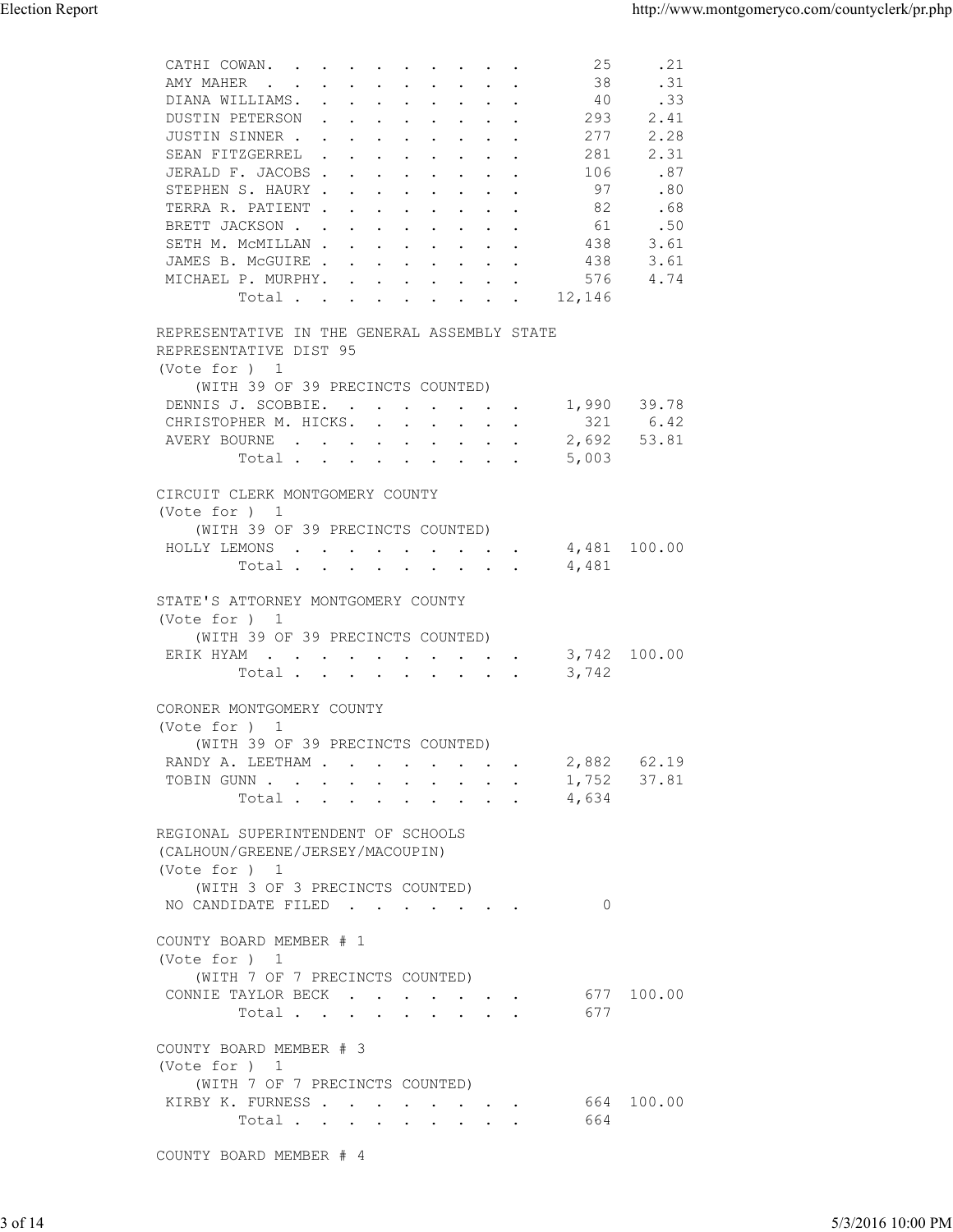| <b>Election Report</b> |                                                                                                                                                                                                                                                                                                                                                                                                                                                                                                                                                                                                                                    |                                                                                               | http://www.montgomeryco.com/countyclerk/pr.php |
|------------------------|------------------------------------------------------------------------------------------------------------------------------------------------------------------------------------------------------------------------------------------------------------------------------------------------------------------------------------------------------------------------------------------------------------------------------------------------------------------------------------------------------------------------------------------------------------------------------------------------------------------------------------|-----------------------------------------------------------------------------------------------|------------------------------------------------|
|                        | CATHI COWAN.<br>25<br>38<br>AMY MAHER<br>DIANA WILLIAMS.<br>40<br>DUSTIN PETERSON<br>293<br>and the contract of the contract of<br>JUSTIN SINNER<br>277<br>SEAN FITZGERREL<br>281<br>$\mathbf{r}$ . The contract of the contract of the contract of the contract of the contract of the contract of the contract of the contract of the contract of the contract of the contract of the contract of the contract of th<br>JERALD F. JACOBS<br>106<br>STEPHEN S. HAURY<br>97<br>TERRA R. PATIENT<br>82<br>BRETT JACKSON<br>61<br>SETH M. MCMILLAN<br>438<br>JAMES B. MCGUIRE<br>438<br>MICHAEL P. MURPHY.<br>576<br>12,146<br>Total | .21<br>.31<br>.33<br>2.41<br>2.28<br>2.31<br>.87<br>.80<br>.68<br>.50<br>3.61<br>3.61<br>4.74 |                                                |
|                        | REPRESENTATIVE IN THE GENERAL ASSEMBLY STATE                                                                                                                                                                                                                                                                                                                                                                                                                                                                                                                                                                                       |                                                                                               |                                                |
|                        | REPRESENTATIVE DIST 95<br>(Vote for ) 1<br>(WITH 39 OF 39 PRECINCTS COUNTED)<br>DENNIS J. SCOBBIE. 1,990 39.78<br>CHRISTOPHER M. HICKS.<br>AVERY BOURNE<br>Total<br>5,003                                                                                                                                                                                                                                                                                                                                                                                                                                                          | 321 6.42<br>2,692 53.81                                                                       |                                                |
|                        | CIRCUIT CLERK MONTGOMERY COUNTY<br>(Vote for ) 1<br>(WITH 39 OF 39 PRECINCTS COUNTED)<br>HOLLY LEMONS 4,481 100.00<br>Total 4,481                                                                                                                                                                                                                                                                                                                                                                                                                                                                                                  |                                                                                               |                                                |
|                        | STATE'S ATTORNEY MONTGOMERY COUNTY<br>(Vote for ) 1<br>(WITH 39 OF 39 PRECINCTS COUNTED)<br>ERIK HYAM 3,742 100.00<br>Total 3,742                                                                                                                                                                                                                                                                                                                                                                                                                                                                                                  |                                                                                               |                                                |
|                        | CORONER MONTGOMERY COUNTY<br>(Vote for ) 1<br>(WITH 39 OF 39 PRECINCTS COUNTED)<br>RANDY A. LEETHAM 2,882 62.19<br>TOBIN GUNN                                                                                                                                                                                                                                                                                                                                                                                                                                                                                                      | 1,752 37.81                                                                                   |                                                |
|                        | Total 4,634<br>REGIONAL SUPERINTENDENT OF SCHOOLS<br>(CALHOUN/GREENE/JERSEY/MACOUPIN)<br>(Vote for ) 1<br>(WITH 3 OF 3 PRECINCTS COUNTED)                                                                                                                                                                                                                                                                                                                                                                                                                                                                                          |                                                                                               |                                                |
|                        | NO CANDIDATE FILED<br>$\overline{0}$<br>COUNTY BOARD MEMBER # 1<br>(Vote for ) 1<br>(WITH 7 OF 7 PRECINCTS COUNTED)<br>CONNIE TAYLOR BECK<br>677<br>Total                                                                                                                                                                                                                                                                                                                                                                                                                                                                          | 677 100.00                                                                                    |                                                |
|                        | COUNTY BOARD MEMBER # 3<br>(Vote for ) 1<br>(WITH 7 OF 7 PRECINCTS COUNTED)<br>KIRBY K. FURNESS<br>Total<br>664                                                                                                                                                                                                                                                                                                                                                                                                                                                                                                                    | 664 100.00                                                                                    |                                                |
|                        | COUNTY BOARD MEMBER # 4                                                                                                                                                                                                                                                                                                                                                                                                                                                                                                                                                                                                            |                                                                                               |                                                |
| 3 of 14                |                                                                                                                                                                                                                                                                                                                                                                                                                                                                                                                                                                                                                                    |                                                                                               | 5/3/2016 10:00 PM                              |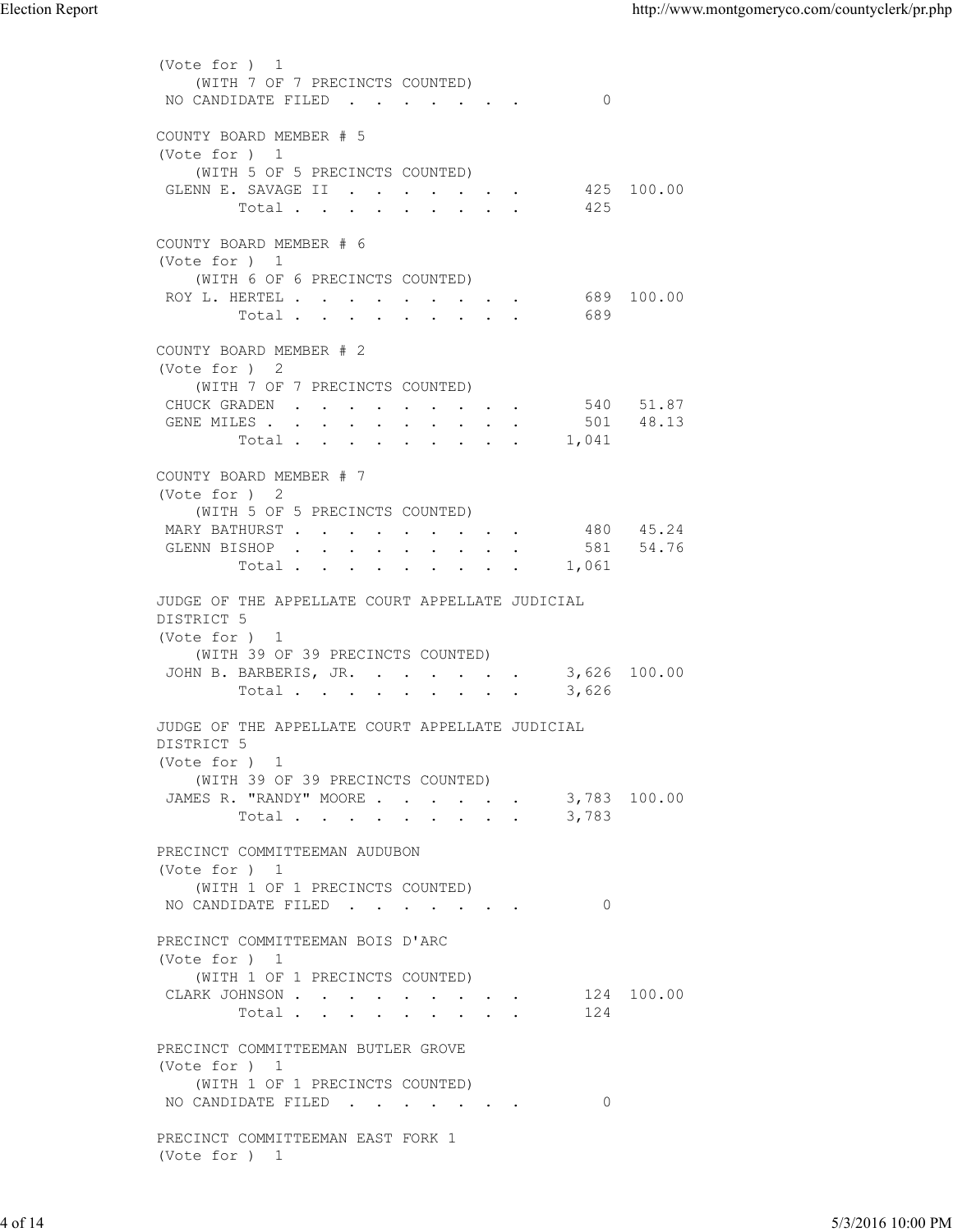(Vote for ) 1 (WITH 7 OF 7 PRECINCTS COUNTED)<br>) CANDIDATE FILED . . . . . . . 0 NO CANDIDATE FILED . . . . . . . COUNTY BOARD MEMBER # 5 (Vote for ) 1 (WITH 5 OF 5 PRECINCTS COUNTED) GLENN E. SAVAGE II . . . . . . . 425 100.00 Total . . . . . . . . . 425 COUNTY BOARD MEMBER # 6 (Vote for ) 1 (WITH 6 OF 6 PRECINCTS COUNTED) ROY L. HERTEL . . . . . . . . . . 689 100.00 Total . . . . . . . . . 689 COUNTY BOARD MEMBER # 2 (Vote for ) 2 (WITH 7 OF 7 PRECINCTS COUNTED) CHUCK GRADEN . . . . . . . . . 540 51.87 GENE MILES . . . . . . . . . . 501 48.13 ل . . . . . . . . . . . . . 501<br>Total . . . . . . . . . . 1,041 COUNTY BOARD MEMBER # 7 (Vote for ) 2 (WITH 5 OF 5 PRECINCTS COUNTED) MARY BATHURST . . . . . . . . . 480 45.24 GLENN BISHOP . . . . . . . . . 581 54.76 Total . . . . . . . . . 1,061 JUDGE OF THE APPELLATE COURT APPELLATE JUDICIAL DISTRICT 5 (Vote for ) 1 (WITH 39 OF 39 PRECINCTS COUNTED) JOHN B. BARBERIS, JR. . . . . . . 3,626 100.00 Total . . . . . . . . . 3,626 JUDGE OF THE APPELLATE COURT APPELLATE JUDICIAL DISTRICT 5 (Vote for ) 1 (WITH 39 OF 39 PRECINCTS COUNTED) JAMES R. "RANDY" MOORE . . . . . . 3,783 100.00  $Total . . . . . . . . . 3,783$  PRECINCT COMMITTEEMAN AUDUBON (Vote for ) 1 (WITH 1 OF 1 PRECINCTS COUNTED) NO CANDIDATE FILED . . . . . . . 0 PRECINCT COMMITTEEMAN BOIS D'ARC (Vote for ) 1 (WITH 1 OF 1 PRECINCTS COUNTED) CLARK JOHNSON . . . . . . . . . 124 100.00 Total . . . . . . . . . 124 PRECINCT COMMITTEEMAN BUTLER GROVE (Vote for ) 1 (WITH 1 OF 1 PRECINCTS COUNTED) NO CANDIDATE FILED . . . . . . . 0 PRECINCT COMMITTEEMAN EAST FORK 1 (Vote for ) 1 Election Report<br>
(Vote for ) 1<br>
(WITH 7 OF 7 PRECINCTS COUNTED)<br>
NO CANDIDATE FILED . . . . . . . . . 0 PRECINCT COMMITTEEMAN AUDURON<br>
(Vote for ) 1<br>
WOTEN 1 PRECINCTS CONTRED)<br>
NO CANDIDATE FILED<br>
FRECINCT COMMITTEEMAN EOIS D'ARC<br>
PRECINCT COMMITTEEMAN EOIS D'ARC<br>
(Vote for ) 1<br>
CLARK JOHNSON . . . . . . . . . . . . . . . .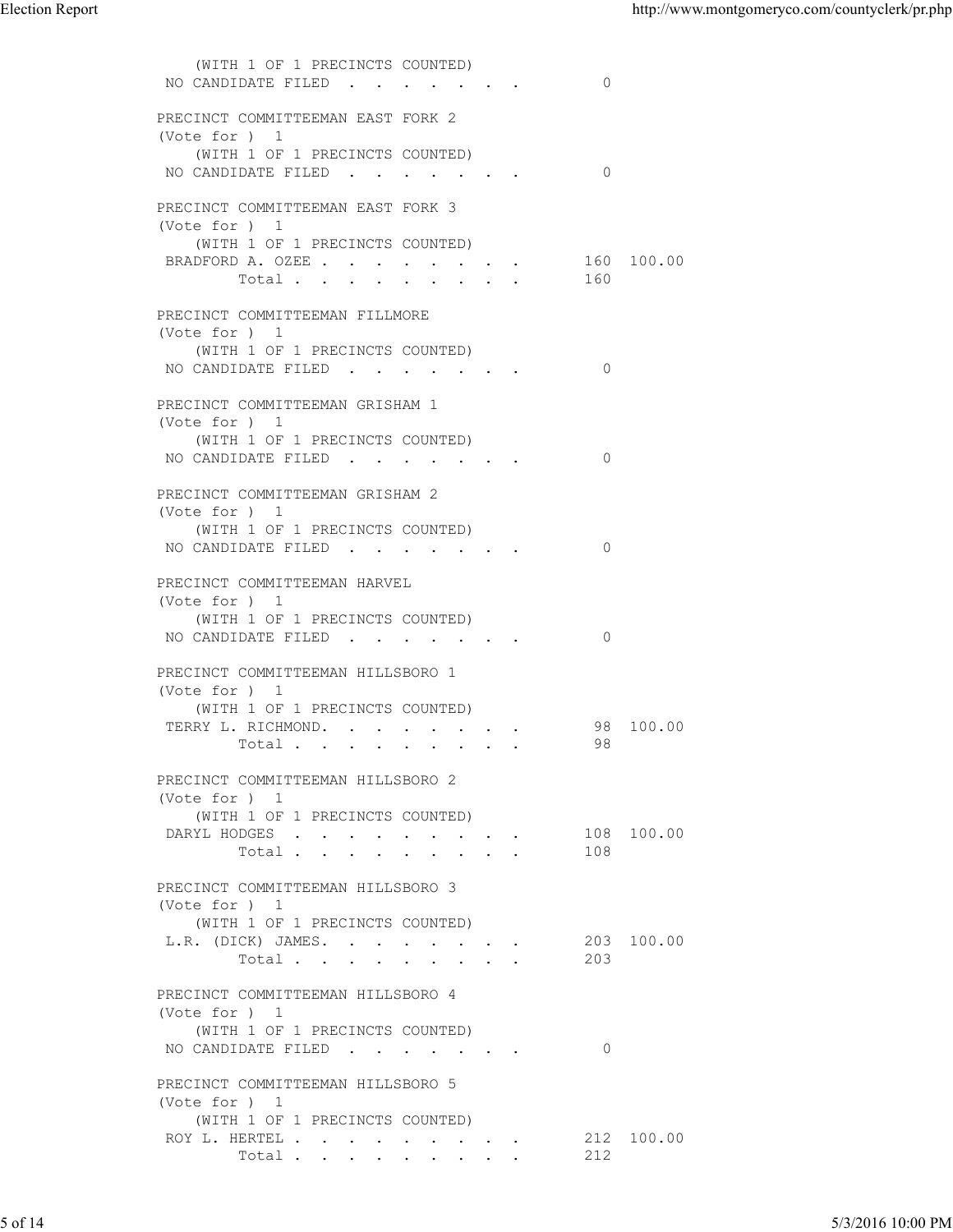| <b>Election Report</b> |                                                                                                                                 |                | http://www.montgomeryco.com/countyclerk/pr.php |
|------------------------|---------------------------------------------------------------------------------------------------------------------------------|----------------|------------------------------------------------|
|                        | (WITH 1 OF 1 PRECINCTS COUNTED)<br>NO CANDIDATE FILED                                                                           | $\overline{0}$ |                                                |
|                        | PRECINCT COMMITTEEMAN EAST FORK 2<br>(Vote for ) 1<br>(WITH 1 OF 1 PRECINCTS COUNTED)                                           |                |                                                |
|                        | NO CANDIDATE FILED<br>PRECINCT COMMITTEEMAN EAST FORK 3                                                                         | $\overline{0}$ |                                                |
|                        | (Vote for ) 1<br>(WITH 1 OF 1 PRECINCTS COUNTED)<br>BRADFORD A. OZEE<br>Total                                                   | 160            | 160 100.00                                     |
|                        | PRECINCT COMMITTEEMAN FILLMORE<br>(Vote for ) 1<br>(WITH 1 OF 1 PRECINCTS COUNTED)<br>NO CANDIDATE FILED 0                      |                |                                                |
|                        | PRECINCT COMMITTEEMAN GRISHAM 1<br>(Vote for ) 1<br>(WITH 1 OF 1 PRECINCTS COUNTED)<br>NO CANDIDATE FILED 0                     |                |                                                |
|                        | PRECINCT COMMITTEEMAN GRISHAM 2<br>(Vote for ) 1<br>(WITH 1 OF 1 PRECINCTS COUNTED)<br>NO CANDIDATE FILED 0                     |                |                                                |
|                        | PRECINCT COMMITTEEMAN HARVEL<br>(Vote for ) 1<br>(WITH 1 OF 1 PRECINCTS COUNTED)<br>NO CANDIDATE FILED                          | $\overline{0}$ |                                                |
|                        | PRECINCT COMMITTEEMAN HILLSBORO 1<br>(Vote for ) 1<br>(WITH 1 OF 1 PRECINCTS COUNTED)<br>TERRY L. RICHMOND.<br>Total            | 98 100.00      |                                                |
|                        | PRECINCT COMMITTEEMAN HILLSBORO 2<br>(Vote for ) 1<br>(WITH 1 OF 1 PRECINCTS COUNTED)<br>DARYL HODGES 108 100.00<br>Total       | 108            |                                                |
|                        | PRECINCT COMMITTEEMAN HILLSBORO 3<br>(Vote for ) 1<br>(WITH 1 OF 1 PRECINCTS COUNTED)<br>L.R. (DICK) JAMES. 203 100.00<br>Total | 203            |                                                |
|                        | PRECINCT COMMITTEEMAN HILLSBORO 4<br>(Vote for ) 1<br>(WITH 1 OF 1 PRECINCTS COUNTED)<br>NO CANDIDATE FILED                     | $\circ$        |                                                |
|                        | PRECINCT COMMITTEEMAN HILLSBORO 5<br>(Vote for ) 1<br>(WITH 1 OF 1 PRECINCTS COUNTED)<br>ROY L. HERTEL<br>Total                 | 212            | 212 100.00                                     |
|                        |                                                                                                                                 |                |                                                |
| 5 of 14                |                                                                                                                                 |                | 5/3/2016 10:00 PM                              |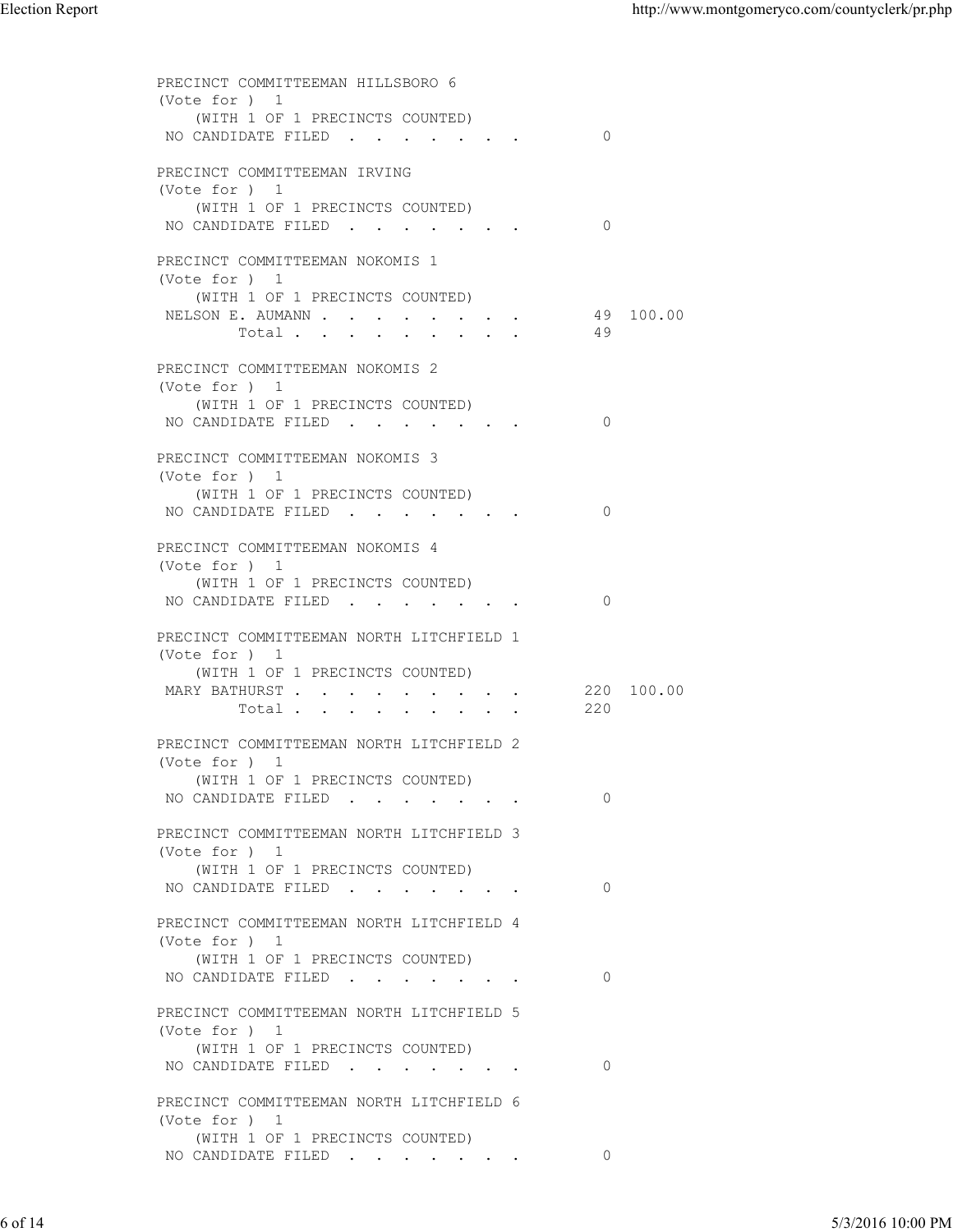PRECINCT COMMITTEEMAN HILLSBORO 6 (Vote for ) 1 (WITH 1 OF 1 PRECINCTS COUNTED) NO CANDIDATE FILED . . . . . . . 0 PRECINCT COMMITTEEMAN IRVING (Vote for ) 1 (WITH 1 OF 1 PRECINCTS COUNTED) NO CANDIDATE FILED . . . . . . 0 PRECINCT COMMITTEEMAN NOKOMIS 1 (Vote for ) 1 (WITH 1 OF 1 PRECINCTS COUNTED) NELSON E. AUMANN . . . . . . . . . 49 100.00 Total . . . . . . . . . 49 PRECINCT COMMITTEEMAN NOKOMIS 2 (Vote for ) 1 (WITH 1 OF 1 PRECINCTS COUNTED) NO CANDIDATE FILED . . . . . . . 0 PRECINCT COMMITTEEMAN NOKOMIS 3 (Vote for ) 1 (WITH 1 OF 1 PRECINCTS COUNTED) NO CANDIDATE FILED . . . . . . . 0 PRECINCT COMMITTEEMAN NOKOMIS 4 (Vote for ) 1 (WITH 1 OF 1 PRECINCTS COUNTED) NO CANDIDATE FILED . . . . . . . 0 PRECINCT COMMITTEEMAN NORTH LITCHFIELD 1 (Vote for ) 1 (WITH 1 OF 1 PRECINCTS COUNTED)<br>RY BATHURST . . . . . . . . . . 220 100.00 MARY BATHURST . . . . . . . . . Total . . . . . . . . . 220 PRECINCT COMMITTEEMAN NORTH LITCHFIELD 2 (Vote for ) 1 (WITH 1 OF 1 PRECINCTS COUNTED) NO CANDIDATE FILED . . . . . . . 0 PRECINCT COMMITTEEMAN NORTH LITCHFIELD 3 (Vote for ) 1 (WITH 1 OF 1 PRECINCTS COUNTED) NO CANDIDATE FILED . . . . . . . 0 PRECINCT COMMITTEEMAN NORTH LITCHFIELD 4 (Vote for ) 1 (WITH 1 OF 1 PRECINCTS COUNTED) NO CANDIDATE FILED . . . . . . . 0 PRECINCT COMMITTEEMAN NORTH LITCHFIELD 5 (Vote for ) 1 (WITH 1 OF 1 PRECINCTS COUNTED) NO CANDIDATE FILED . . . . . . . 0 PRECINCT COMMITTEEMAN NORTH LITCHFIELD 6 (Vote for ) 1 (WITH 1 OF 1 PRECINCTS COUNTED) NO CANDIDATE FILED . . . . . . . 0 Election Report<br>
PRECINCT COMMITTEEMAN HILLSBORO 6<br>
(Vote for ) 1 6 of 14 5/3/2016 10:00 PM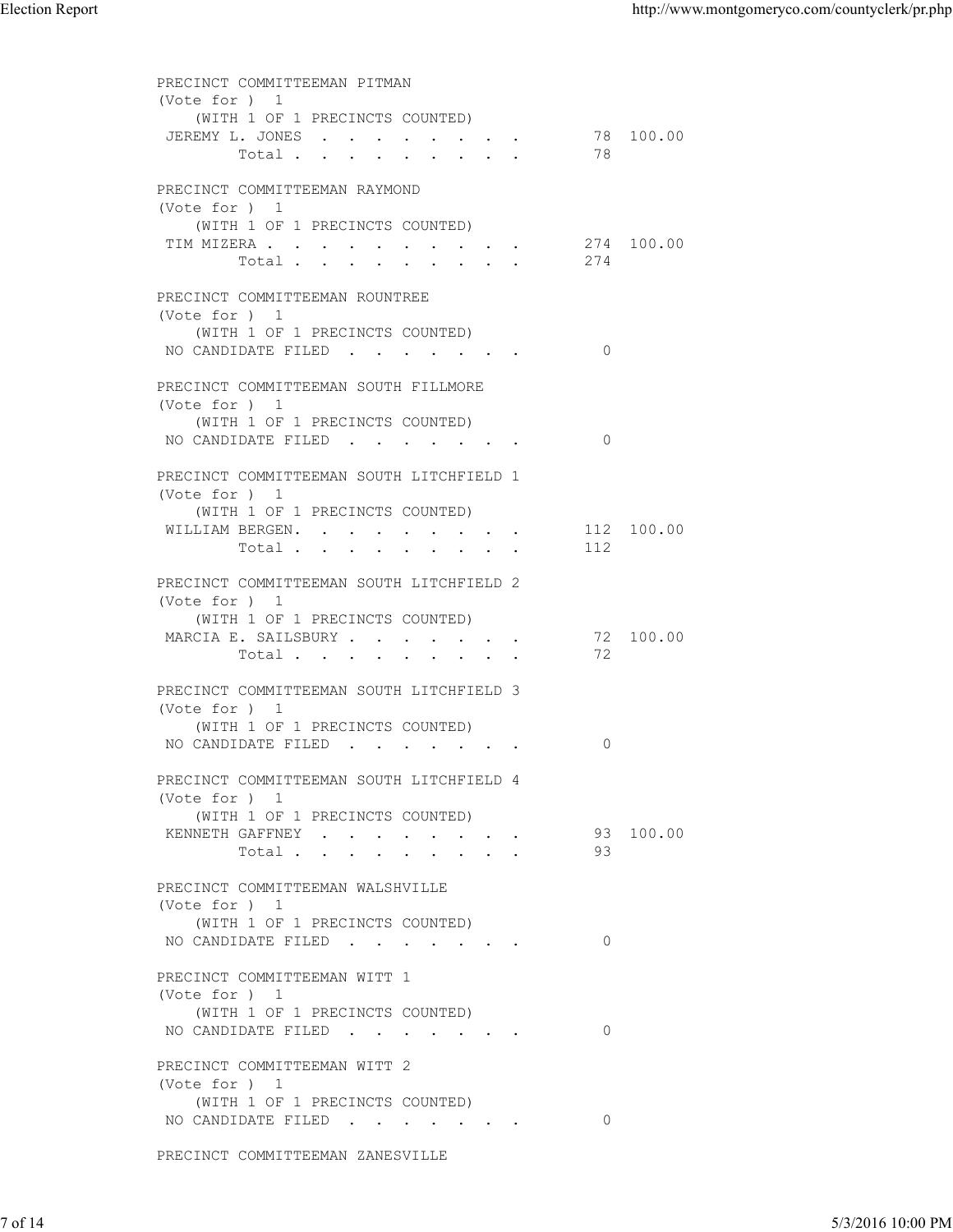| <b>Election Report</b> |                                                                                                                              |                | http://www.montgomeryco.com/countyclerk/pr.php |
|------------------------|------------------------------------------------------------------------------------------------------------------------------|----------------|------------------------------------------------|
|                        | PRECINCT COMMITTEEMAN PITMAN<br>(Vote for ) 1                                                                                |                |                                                |
|                        | (WITH 1 OF 1 PRECINCTS COUNTED)<br>JEREMY L. JONES<br>Total                                                                  | 78             | 78 100.00                                      |
|                        | PRECINCT COMMITTEEMAN RAYMOND<br>(Vote for ) 1                                                                               |                |                                                |
|                        | (WITH 1 OF 1 PRECINCTS COUNTED)<br>TIM MIZERA<br>Total                                                                       | 274            | 274 100.00                                     |
|                        | PRECINCT COMMITTEEMAN ROUNTREE<br>(Vote for ) 1<br>(WITH 1 OF 1 PRECINCTS COUNTED)                                           |                |                                                |
|                        | NO CANDIDATE FILED 0<br>PRECINCT COMMITTEEMAN SOUTH FILLMORE                                                                 |                |                                                |
|                        | (Vote for ) 1<br>(WITH 1 OF 1 PRECINCTS COUNTED)<br>NO CANDIDATE FILED                                                       | $\overline{0}$ |                                                |
|                        | PRECINCT COMMITTEEMAN SOUTH LITCHFIELD 1<br>(Vote for ) 1                                                                    |                |                                                |
|                        | (WITH 1 OF 1 PRECINCTS COUNTED)<br>WILLIAM BERGEN.<br>Total                                                                  | 112            | 112 100.00                                     |
|                        | PRECINCT COMMITTEEMAN SOUTH LITCHFIELD 2<br>(Vote for ) 1<br>(WITH 1 OF 1 PRECINCTS COUNTED)<br>MARCIA E. SAILSBURY<br>Total | 72             | 72 100.00                                      |
|                        | PRECINCT COMMITTEEMAN SOUTH LITCHFIELD 3<br>(Vote for ) 1<br>(WITH 1 OF 1 PRECINCTS COUNTED)                                 |                |                                                |
|                        | NO CANDIDATE FILED                                                                                                           | $\circ$        |                                                |
|                        | PRECINCT COMMITTEEMAN SOUTH LITCHFIELD 4<br>(Vote for ) 1<br>(WITH 1 OF 1 PRECINCTS COUNTED)<br>KENNETH GAFFNEY<br>Total     | 93             | 93 100.00                                      |
|                        | PRECINCT COMMITTEEMAN WALSHVILLE<br>(Vote for ) 1<br>(WITH 1 OF 1 PRECINCTS COUNTED)<br>NO CANDIDATE FILED                   | $\circ$        |                                                |
|                        | PRECINCT COMMITTEEMAN WITT 1<br>(Vote for ) 1<br>(WITH 1 OF 1 PRECINCTS COUNTED)<br>NO CANDIDATE FILED                       | $\overline{0}$ |                                                |
|                        | PRECINCT COMMITTEEMAN WITT 2<br>(Vote for ) 1<br>(WITH 1 OF 1 PRECINCTS COUNTED)<br>NO CANDIDATE FILED                       | $\circ$        |                                                |
|                        | PRECINCT COMMITTEEMAN ZANESVILLE                                                                                             |                |                                                |
| 7 of 14                |                                                                                                                              |                | 5/3/2016 10:00 PM                              |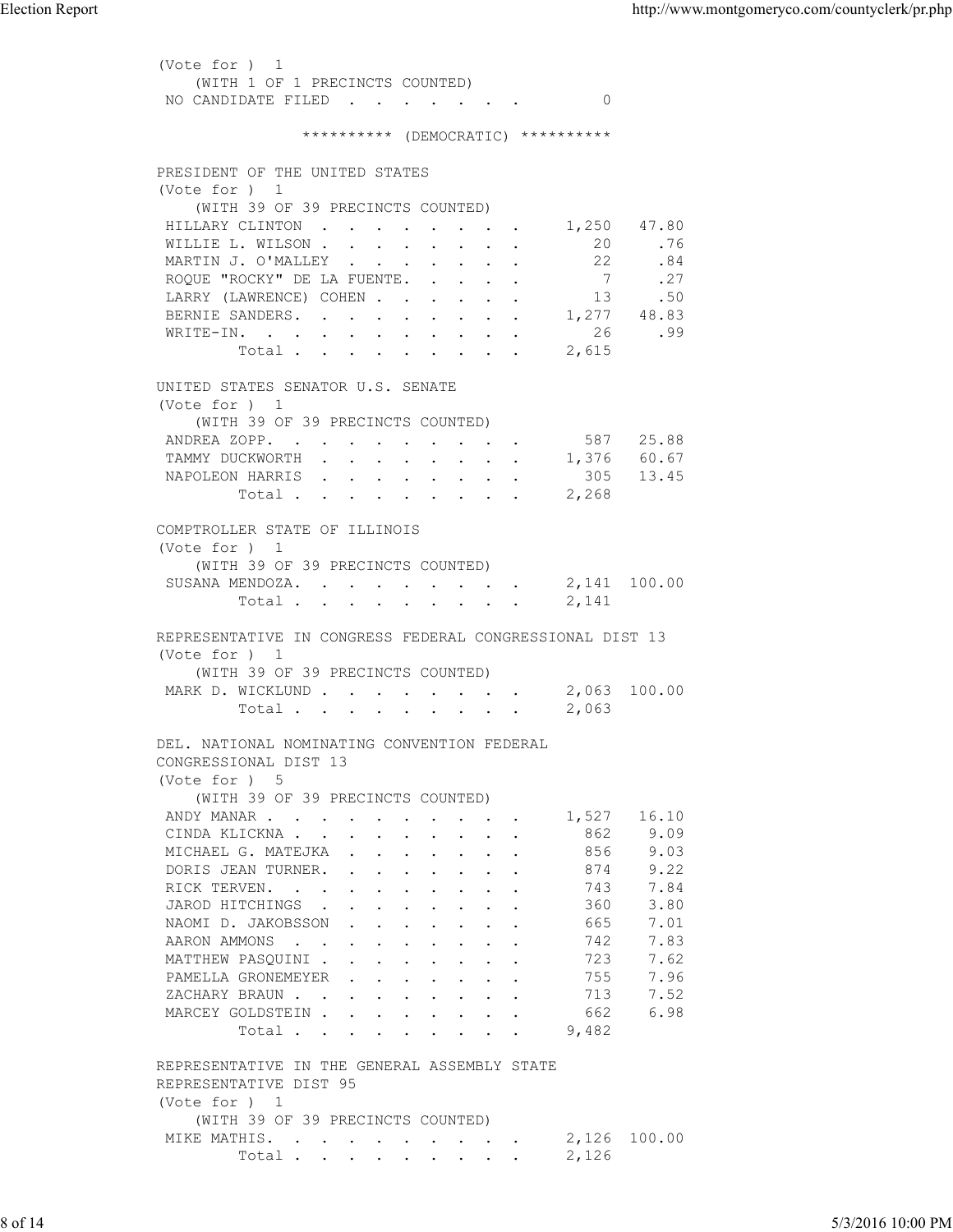(Vote for ) 1 (WITH 1 OF 1 PRECINCTS COUNTED) NO CANDIDATE FILED . . . . . . . 0 \*\*\*\*\*\*\*\*\*\* (DEMOCRATIC) \*\*\*\*\*\*\*\*\*\* PRESIDENT OF THE UNITED STATES (Vote for ) 1 (WITH 39 OF 39 PRECINCTS COUNTED) HILLARY CLINTON . . . . . . . . 1,250 47.80<br>WILLIE L. WILSON . . . . . . . . 20 .76 WILLIE L. WILSON . . . . . . . . 20 .76<br>MARTIN J. O'MALLEY . . . . . . . 22 .84 MARTIN J. O'MALLEY . . . . . . . . 22 .84<br>ROQUE "ROCKY" DE LA FUENTE. . . . . 7 .27 ROQUE "ROCKY" DE LA FUENTE. . . . . 7 LARRY (LAWRENCE) COHEN . . . . . . 13 .50 BERNIE SANDERS. . . . . . . . . 1,277 48.83 WRITE-IN. . . . . . . . . . . 26 .99  $Total . . . . . . . . . . . . . . . . . . . . . . .$  UNITED STATES SENATOR U.S. SENATE (Vote for ) 1 (WITH 39 OF 39 PRECINCTS COUNTED) ANDREA ZOPP. . . . . . . . . . . 587 25.88<br>TAMMY DUCKWORTH . . . . . . . . 1,376 60.67 TAMMY DUCKWORTH . . . . . . . . . NAPOLEON HARRIS . . . . . . . . 305 13.45<br>Total . . . . . . . . . 2,268 Total . . . . . . . . . COMPTROLLER STATE OF ILLINOIS (Vote for ) 1 (WITH 39 OF 39 PRECINCTS COUNTED) SUSANA MENDOZA. . . . . . . . . 2,141 100.00 Total . . . . . . . . . 2,141 REPRESENTATIVE IN CONGRESS FEDERAL CONGRESSIONAL DIST 13 (Vote for ) 1 (WITH 39 OF 39 PRECINCTS COUNTED) MARK D. WICKLUND . . . . . . . . 2,063 100.00 Total . . . . . . . . . 2,063 DEL. NATIONAL NOMINATING CONVENTION FEDERAL CONGRESSIONAL DIST 13 (Vote for ) 5 (WITH 39 OF 39 PRECINCTS COUNTED) ANDY MANAR . . . . . . . . . . 1,527 16.10 CINDA KLICKNA . . . . . . . . . 862 9.09 MICHAEL G. MATEJKA . . . . . . . 856 9.03<br>DORIS JEAN TURNER. . . . . . . . 874 9.22 DORIS JEAN TURNER. . RICK TERVEN. . . . . . . . . . 743 7.84<br>JAROD HITCHINGS . . . . . . . . 360 3.80 JAROD HITCHINGS . . . . . . . . NAOMI D. JAKOBSSON . . . . . . . . 665 7.01<br>AARON AMMONS . . . . . . . . . 742 7.83<br>MATTHEW PASQUINI . . . . . . . . 723 7.62<br>PAMELLA GRONEMEYER . . . . . . 755 7.96 AARON AMMONS . . . . . . . . . MATTHEW PASQUINI . . . . . . . . PAMELLA GRONEMEYER . . . . . . . 755 7.96<br>ZACHARY BRAUN . . . . . . . . . 713 7.52<br>MARCEY GOLDSTEIN . . . . . . . . 662 6.98 ZACHARY BRAUN . . . . . . . . . MARCEY GOLDSTEIN . . . . . . . . Total . . . . . . . . 9,482 REPRESENTATIVE IN THE GENERAL ASSEMBLY STATE REPRESENTATIVE DIST 95 (Vote for ) 1 (WITH 39 OF 39 PRECINCTS COUNTED) MIKE MATHIS. . . . . . . . . . 2,126 100.00 Total . . . . . . . . . 2,126 Election Report http://www.montgomeryco.com/countyclerk/pr.php 8 of 14 5/3/2016 10:00 PM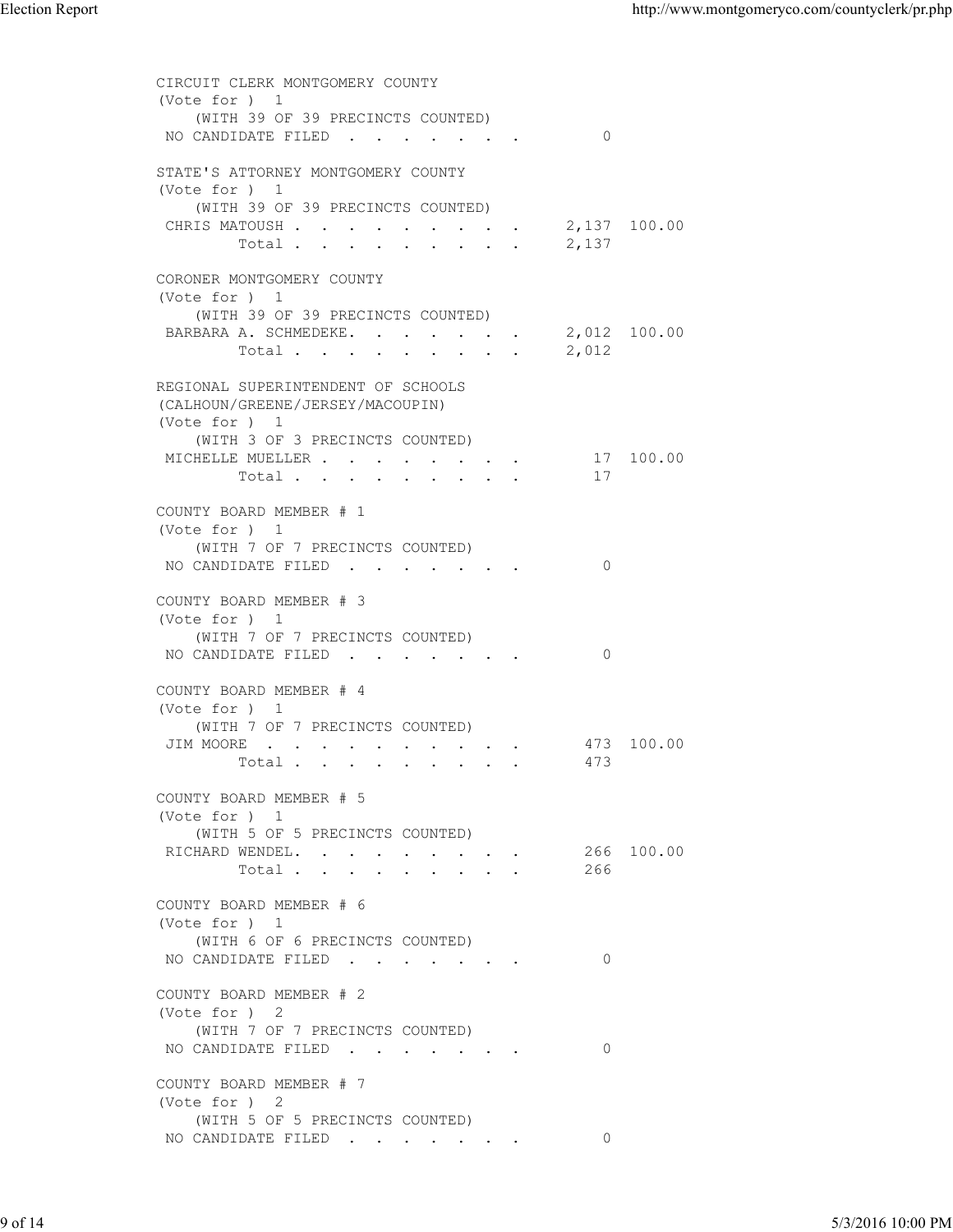| <b>Election Report</b> |                                                                                                                                      |                   | http://www.montgomeryco.com/countyclerk/pr.php |
|------------------------|--------------------------------------------------------------------------------------------------------------------------------------|-------------------|------------------------------------------------|
|                        | CIRCUIT CLERK MONTGOMERY COUNTY<br>(Vote for ) 1<br>(WITH 39 OF 39 PRECINCTS COUNTED)                                                |                   |                                                |
|                        | NO CANDIDATE FILED<br>STATE'S ATTORNEY MONTGOMERY COUNTY                                                                             | $\circ$           |                                                |
|                        | (Vote for ) 1<br>(WITH 39 OF 39 PRECINCTS COUNTED)<br>CHRIS MATOUSH 2, 137 100.00<br>Total $\cdots$                                  | 2,137             |                                                |
|                        | CORONER MONTGOMERY COUNTY<br>(Vote for ) 1<br>(WITH 39 OF 39 PRECINCTS COUNTED)<br>BARBARA A. SCHMEDEKE. 2,012 100.00<br>Total 2,012 |                   |                                                |
|                        | REGIONAL SUPERINTENDENT OF SCHOOLS<br>(CALHOUN/GREENE/JERSEY/MACOUPIN)                                                               |                   |                                                |
|                        | (Vote for ) 1<br>(WITH 3 OF 3 PRECINCTS COUNTED)<br>MICHELLE MUELLER 17 100.00<br>Total                                              | 17                |                                                |
|                        | COUNTY BOARD MEMBER # 1<br>(Vote for ) 1<br>(WITH 7 OF 7 PRECINCTS COUNTED)<br>NO CANDIDATE FILED                                    | $\circ$           |                                                |
|                        | COUNTY BOARD MEMBER # 3<br>(Vote for ) 1<br>(WITH 7 OF 7 PRECINCTS COUNTED)<br>NO CANDIDATE FILED                                    | $\circ$           |                                                |
|                        | COUNTY BOARD MEMBER # 4<br>(Vote for ) 1<br>(WITH 7 OF 7 PRECINCTS COUNTED)<br>JIM MOORE<br>Total                                    | 473 100.00<br>473 |                                                |
|                        | COUNTY BOARD MEMBER # 5<br>(Vote for ) 1<br>(WITH 5 OF 5 PRECINCTS COUNTED)<br>RICHARD WENDEL.                                       | 266 100.00        |                                                |
|                        | Total<br>COUNTY BOARD MEMBER # 6<br>(Vote for ) 1<br>(WITH 6 OF 6 PRECINCTS COUNTED)<br>NO CANDIDATE FILED                           | 266<br>$\circ$    |                                                |
|                        | COUNTY BOARD MEMBER # 2<br>(Vote for ) 2<br>(WITH 7 OF 7 PRECINCTS COUNTED)<br>NO CANDIDATE FILED                                    | $\overline{0}$    |                                                |
|                        | COUNTY BOARD MEMBER # 7<br>(Vote for ) 2<br>(WITH 5 OF 5 PRECINCTS COUNTED)<br>NO CANDIDATE FILED                                    | $\circ$           |                                                |
|                        |                                                                                                                                      |                   |                                                |
| 9 of 14                |                                                                                                                                      |                   | 5/3/2016 10:00 PM                              |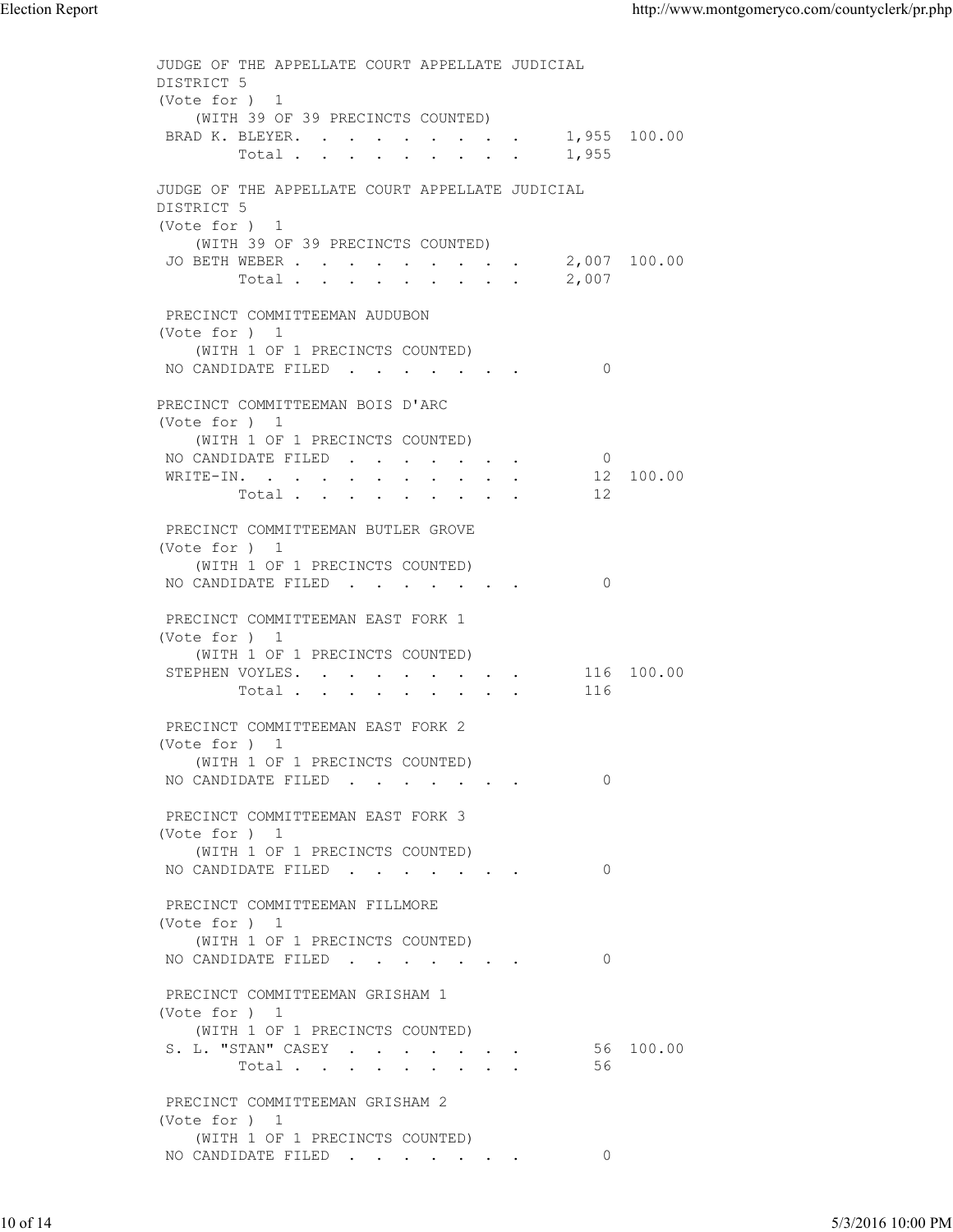JUDGE OF THE APPELLATE COURT APPELLATE JUDICIAL DISTRICT 5 (Vote for ) 1 (WITH 39 OF 39 PRECINCTS COUNTED) BRAD K. BLEYER. . . . . . . . . 1,955 100.00<br>Total . . . . . . . . . 1,955 Total  $\cdots$  . . . . . . . JUDGE OF THE APPELLATE COURT APPELLATE JUDICIAL DISTRICT 5 (Vote for ) 1 (WITH 39 OF 39 PRECINCTS COUNTED) JO BETH WEBER . . . . . . . . . 2,007 100.00  $\texttt{Total . . . . . . . } 2,007$  PRECINCT COMMITTEEMAN AUDUBON (Vote for ) 1 (WITH 1 OF 1 PRECINCTS COUNTED) NO CANDIDATE FILED . . . . . . . 0 PRECINCT COMMITTEEMAN BOIS D'ARC (Vote for ) 1 (WITH 1 OF 1 PRECINCTS COUNTED) NO CANDIDATE FILED . . . . . . . 0<br>WRITE-IN. . . . . . . . . . . 12 100.00 WRITE-IN. . . . . . . . . . . Total . . . . . . . . . 12 PRECINCT COMMITTEEMAN BUTLER GROVE (Vote for ) 1 (WITH 1 OF 1 PRECINCTS COUNTED) NO CANDIDATE FILED . . . . . . . 0 PRECINCT COMMITTEEMAN EAST FORK 1 (Vote for ) 1 (WITH 1 OF 1 PRECINCTS COUNTED) STEPHEN VOYLES. . . . . . . . . 116 100.00 Total . . . . . . . . . 116 PRECINCT COMMITTEEMAN EAST FORK 2 (Vote for ) 1 (WITH 1 OF 1 PRECINCTS COUNTED) NO CANDIDATE FILED . . . . . . . 0 PRECINCT COMMITTEEMAN EAST FORK 3 (Vote for ) 1 (WITH 1 OF 1 PRECINCTS COUNTED) NO CANDIDATE FILED . . . . . . 0 PRECINCT COMMITTEEMAN FILLMORE (Vote for ) 1 (WITH 1 OF 1 PRECINCTS COUNTED) NO CANDIDATE FILED . . . . . . . 0 PRECINCT COMMITTEEMAN GRISHAM 1 (Vote for ) 1 (WITH 1 OF 1 PRECINCTS COUNTED)<br>
L. "STAN" CASEY . . . . . . . . 56 100.00 S. L. "STAN" CASEY . . . . . . . 56<br>Total . . . . . . . . . 56 Total  $\cdots$  . . . . . . PRECINCT COMMITTEEMAN GRISHAM 2 (Vote for ) 1 (WITH 1 OF 1 PRECINCTS COUNTED) NO CANDIDATE FILED . . . . . . . 0 Election Report http://www.montgomeryco.com/countyclerk/pr.php<br>
JUDGE OF THE APPELLATE COURT APPELLATE JUDICIAL<br>
DISTRICT 5<br>
(Vote for ) 1 THE TRACE CONFIDENT PROTECTS CONTREDUCTED<br>
(VOTE 10 THE 1 PRECINCTS CONTRESS)<br>
NO CANDIDATE FILED (CONFIDENT PILEMONE<br>
TRECINCT COMMITTEEMAN FILEMONE<br>
(VOTE 1 OF 1 PRECINCTS COUNTED)<br>
NO CANDIDATE FILED (CONFIDENT PILEMONE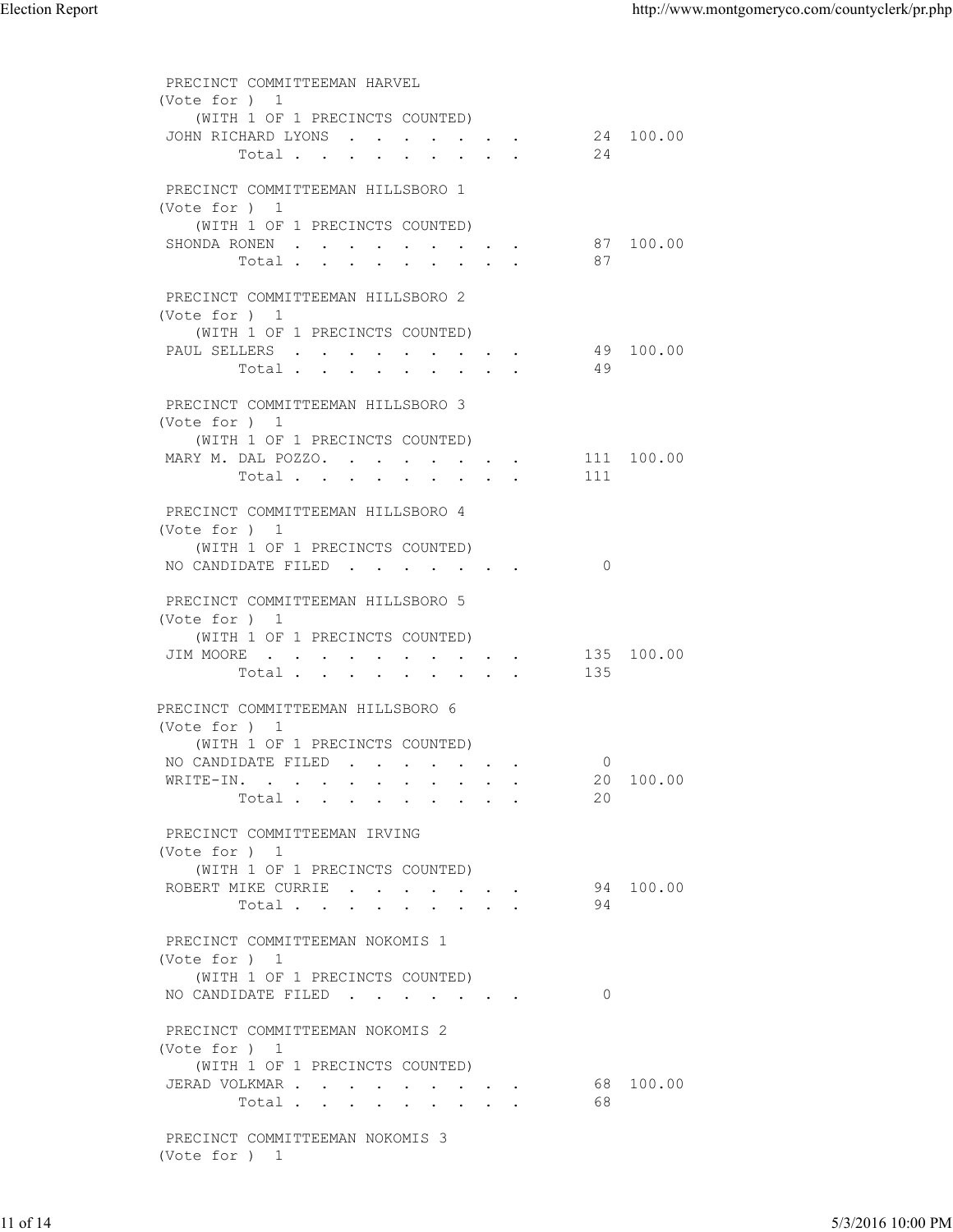| <b>Election Report</b> |                                                                                                                          |                | http://www.montgomeryco.com/countyclerk/pr.php |
|------------------------|--------------------------------------------------------------------------------------------------------------------------|----------------|------------------------------------------------|
|                        | PRECINCT COMMITTEEMAN HARVEL<br>(Vote for ) 1                                                                            |                |                                                |
|                        | (WITH 1 OF 1 PRECINCTS COUNTED)<br>JOHN RICHARD LYONS<br>Total                                                           | 24             | 24 100.00                                      |
|                        | PRECINCT COMMITTEEMAN HILLSBORO 1<br>(Vote for ) 1<br>(WITH 1 OF 1 PRECINCTS COUNTED)                                    |                |                                                |
|                        | SHONDA RONEN<br>Total<br>PRECINCT COMMITTEEMAN HILLSBORO 2                                                               | 87             | 87 100.00                                      |
|                        | (Vote for ) 1<br>(WITH 1 OF 1 PRECINCTS COUNTED)<br>PAUL SELLERS<br>Total                                                | 49             | 49 100.00                                      |
|                        | PRECINCT COMMITTEEMAN HILLSBORO 3<br>(Vote for ) 1                                                                       |                |                                                |
|                        | (WITH 1 OF 1 PRECINCTS COUNTED)<br>MARY M. DAL POZZO.<br>Total                                                           | 111            | 111 100.00                                     |
|                        | PRECINCT COMMITTEEMAN HILLSBORO 4<br>(Vote for ) 1<br>(WITH 1 OF 1 PRECINCTS COUNTED)<br>NO CANDIDATE FILED              | $\circ$        |                                                |
|                        | PRECINCT COMMITTEEMAN HILLSBORO 5<br>(Vote for ) 1<br>(WITH 1 OF 1 PRECINCTS COUNTED)                                    |                |                                                |
|                        | JIM MOORE<br>Total                                                                                                       | 135            | 135 100.00                                     |
|                        | PRECINCT COMMITTEEMAN HILLSBORO 6<br>(Vote for ) 1<br>(WITH 1 OF 1 PRECINCTS COUNTED)<br>NO CANDIDATE FILED<br>WRITE-IN. | $\overline{0}$ | 20 100.00                                      |
|                        | Total<br>PRECINCT COMMITTEEMAN IRVING                                                                                    | 20             |                                                |
|                        | (Vote for ) 1<br>(WITH 1 OF 1 PRECINCTS COUNTED)<br>ROBERT MIKE CURRIE<br>Total                                          | 94             | 94 100.00                                      |
|                        | PRECINCT COMMITTEEMAN NOKOMIS 1<br>(Vote for ) 1<br>(WITH 1 OF 1 PRECINCTS COUNTED)<br>NO CANDIDATE FILED                | $\overline{0}$ |                                                |
|                        | PRECINCT COMMITTEEMAN NOKOMIS 2<br>(Vote for ) 1<br>(WITH 1 OF 1 PRECINCTS COUNTED)                                      |                |                                                |
|                        | JERAD VOLKMAR<br>Total<br>PRECINCT COMMITTEEMAN NOKOMIS 3                                                                | 68             | 68 100.00                                      |
|                        | (Vote for ) 1                                                                                                            |                |                                                |
| 11 of 14               |                                                                                                                          |                | 5/3/2016 10:00 PM                              |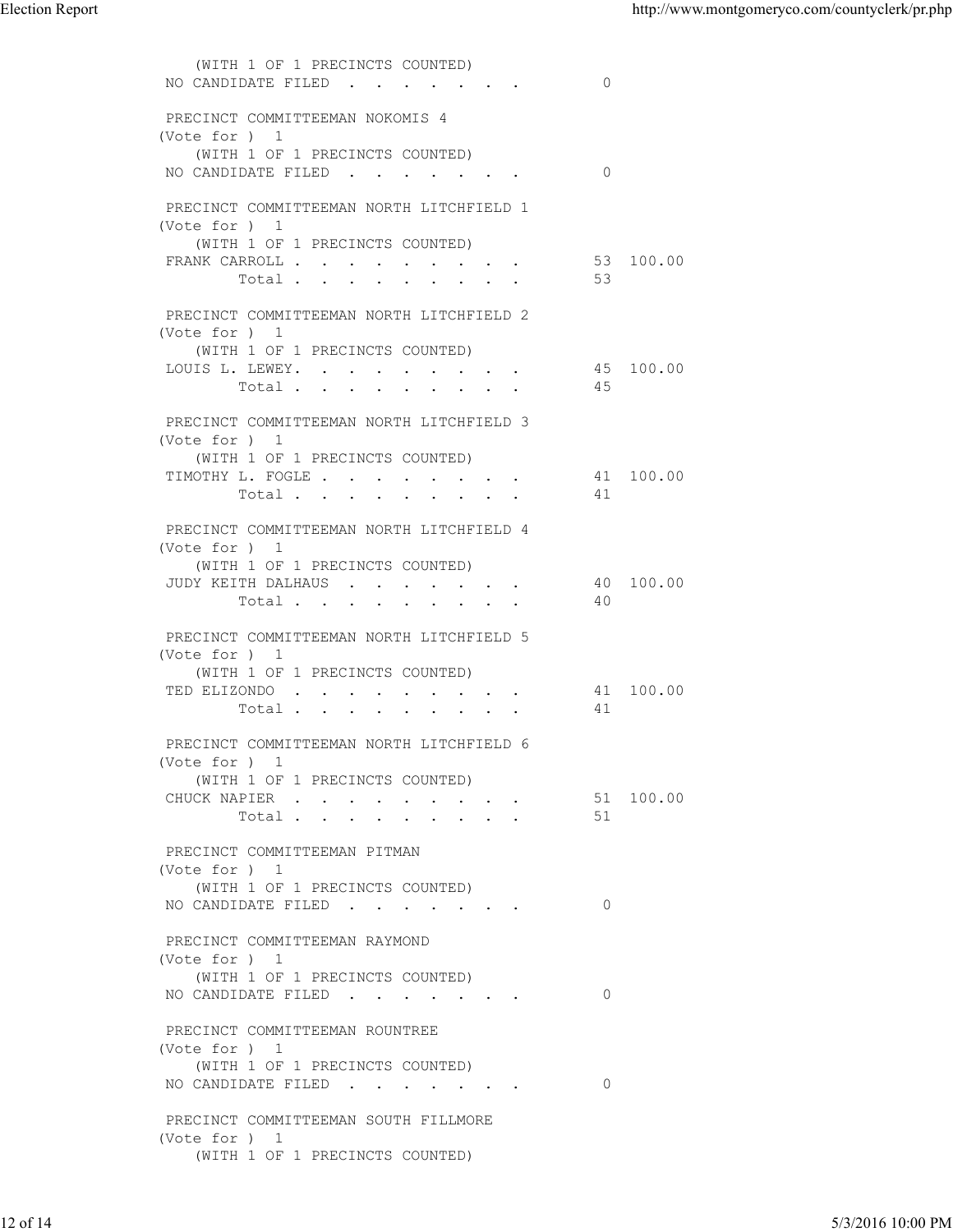| (WITH 1 OF 1 PRECINCTS COUNTED)<br>NO CANDIDATE FILED<br>$\overline{0}$<br>PRECINCT COMMITTEEMAN NOKOMIS 4<br>(Vote for ) 1<br>(WITH 1 OF 1 PRECINCTS COUNTED)<br>NO CANDIDATE FILED<br>$\overline{0}$<br>PRECINCT COMMITTEEMAN NORTH LITCHFIELD 1<br>(Vote for ) 1<br>(WITH 1 OF 1 PRECINCTS COUNTED)<br>53 100.00<br>FRANK CARROLL<br>Total<br>53<br>PRECINCT COMMITTEEMAN NORTH LITCHFIELD 2<br>(Vote for ) 1<br>(WITH 1 OF 1 PRECINCTS COUNTED)<br>45 100.00<br>LOUIS L. LEWEY.<br>Total<br>45<br>PRECINCT COMMITTEEMAN NORTH LITCHFIELD 3<br>(Vote for ) 1<br>(WITH 1 OF 1 PRECINCTS COUNTED)<br>TIMOTHY L. FOGLE<br>41 100.00<br>Total<br>41<br>PRECINCT COMMITTEEMAN NORTH LITCHFIELD 4<br>(Vote for ) 1<br>(WITH 1 OF 1 PRECINCTS COUNTED)<br>40 100.00<br>JUDY KEITH DALHAUS<br>Total<br>40<br>PRECINCT COMMITTEEMAN NORTH LITCHFIELD 5<br>(Vote for ) 1<br>(WITH 1 OF 1 PRECINCTS COUNTED)<br>TED ELIZONDO<br>41 100.00<br>Total<br>41<br>PRECINCT COMMITTEEMAN NORTH LITCHFIELD 6<br>(Vote for ) 1<br>(WITH 1 OF 1 PRECINCTS COUNTED)<br>51 100.00<br>CHUCK NAPIER<br>Total<br>51<br>PRECINCT COMMITTEEMAN PITMAN<br>(Vote for ) 1<br>(WITH 1 OF 1 PRECINCTS COUNTED)<br>NO CANDIDATE FILED<br>$\overline{0}$<br>PRECINCT COMMITTEEMAN RAYMOND<br>(Vote for ) 1<br>(WITH 1 OF 1 PRECINCTS COUNTED)<br>NO CANDIDATE FILED<br>$\overline{0}$ | <b>Election Report</b> |  | http://www.montgomeryco.com/countyclerk/pr.php |                   |
|-------------------------------------------------------------------------------------------------------------------------------------------------------------------------------------------------------------------------------------------------------------------------------------------------------------------------------------------------------------------------------------------------------------------------------------------------------------------------------------------------------------------------------------------------------------------------------------------------------------------------------------------------------------------------------------------------------------------------------------------------------------------------------------------------------------------------------------------------------------------------------------------------------------------------------------------------------------------------------------------------------------------------------------------------------------------------------------------------------------------------------------------------------------------------------------------------------------------------------------------------------------------------------------------------------------------------------------------------------|------------------------|--|------------------------------------------------|-------------------|
|                                                                                                                                                                                                                                                                                                                                                                                                                                                                                                                                                                                                                                                                                                                                                                                                                                                                                                                                                                                                                                                                                                                                                                                                                                                                                                                                                       |                        |  |                                                |                   |
|                                                                                                                                                                                                                                                                                                                                                                                                                                                                                                                                                                                                                                                                                                                                                                                                                                                                                                                                                                                                                                                                                                                                                                                                                                                                                                                                                       |                        |  |                                                |                   |
|                                                                                                                                                                                                                                                                                                                                                                                                                                                                                                                                                                                                                                                                                                                                                                                                                                                                                                                                                                                                                                                                                                                                                                                                                                                                                                                                                       |                        |  |                                                |                   |
|                                                                                                                                                                                                                                                                                                                                                                                                                                                                                                                                                                                                                                                                                                                                                                                                                                                                                                                                                                                                                                                                                                                                                                                                                                                                                                                                                       |                        |  |                                                |                   |
|                                                                                                                                                                                                                                                                                                                                                                                                                                                                                                                                                                                                                                                                                                                                                                                                                                                                                                                                                                                                                                                                                                                                                                                                                                                                                                                                                       |                        |  |                                                |                   |
|                                                                                                                                                                                                                                                                                                                                                                                                                                                                                                                                                                                                                                                                                                                                                                                                                                                                                                                                                                                                                                                                                                                                                                                                                                                                                                                                                       |                        |  |                                                |                   |
|                                                                                                                                                                                                                                                                                                                                                                                                                                                                                                                                                                                                                                                                                                                                                                                                                                                                                                                                                                                                                                                                                                                                                                                                                                                                                                                                                       |                        |  |                                                |                   |
|                                                                                                                                                                                                                                                                                                                                                                                                                                                                                                                                                                                                                                                                                                                                                                                                                                                                                                                                                                                                                                                                                                                                                                                                                                                                                                                                                       |                        |  |                                                |                   |
|                                                                                                                                                                                                                                                                                                                                                                                                                                                                                                                                                                                                                                                                                                                                                                                                                                                                                                                                                                                                                                                                                                                                                                                                                                                                                                                                                       |                        |  |                                                |                   |
|                                                                                                                                                                                                                                                                                                                                                                                                                                                                                                                                                                                                                                                                                                                                                                                                                                                                                                                                                                                                                                                                                                                                                                                                                                                                                                                                                       |                        |  |                                                |                   |
|                                                                                                                                                                                                                                                                                                                                                                                                                                                                                                                                                                                                                                                                                                                                                                                                                                                                                                                                                                                                                                                                                                                                                                                                                                                                                                                                                       |                        |  |                                                |                   |
|                                                                                                                                                                                                                                                                                                                                                                                                                                                                                                                                                                                                                                                                                                                                                                                                                                                                                                                                                                                                                                                                                                                                                                                                                                                                                                                                                       |                        |  |                                                |                   |
|                                                                                                                                                                                                                                                                                                                                                                                                                                                                                                                                                                                                                                                                                                                                                                                                                                                                                                                                                                                                                                                                                                                                                                                                                                                                                                                                                       |                        |  |                                                |                   |
|                                                                                                                                                                                                                                                                                                                                                                                                                                                                                                                                                                                                                                                                                                                                                                                                                                                                                                                                                                                                                                                                                                                                                                                                                                                                                                                                                       |                        |  |                                                |                   |
| PRECINCT COMMITTEEMAN ROUNTREE<br>(Vote for ) 1<br>(WITH 1 OF 1 PRECINCTS COUNTED)<br>NO CANDIDATE FILED<br>$\overline{0}$                                                                                                                                                                                                                                                                                                                                                                                                                                                                                                                                                                                                                                                                                                                                                                                                                                                                                                                                                                                                                                                                                                                                                                                                                            |                        |  |                                                |                   |
| PRECINCT COMMITTEEMAN SOUTH FILLMORE<br>(Vote for ) 1<br>(WITH 1 OF 1 PRECINCTS COUNTED)                                                                                                                                                                                                                                                                                                                                                                                                                                                                                                                                                                                                                                                                                                                                                                                                                                                                                                                                                                                                                                                                                                                                                                                                                                                              |                        |  |                                                |                   |
|                                                                                                                                                                                                                                                                                                                                                                                                                                                                                                                                                                                                                                                                                                                                                                                                                                                                                                                                                                                                                                                                                                                                                                                                                                                                                                                                                       | 12 of 14               |  |                                                | 5/3/2016 10:00 PM |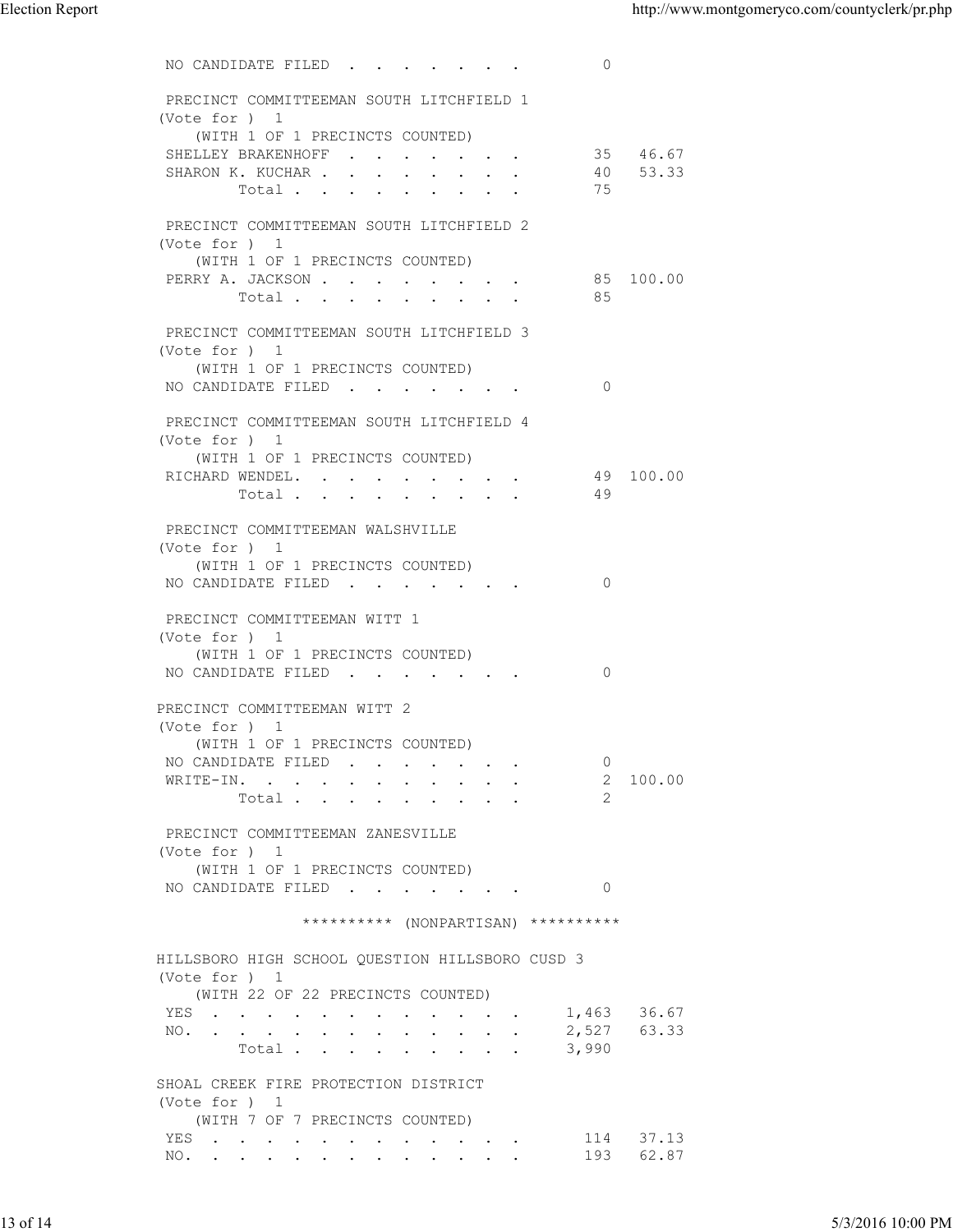| $\circ$<br>NO CANDIDATE FILED<br>PRECINCT COMMITTEEMAN SOUTH LITCHFIELD 1<br>(Vote for ) 1<br>(WITH 1 OF 1 PRECINCTS COUNTED)<br>35 46.67<br>SHELLEY BRAKENHOFF<br>SHARON K. KUCHAR<br>53.33<br>40<br>75<br>Total<br>PRECINCT COMMITTEEMAN SOUTH LITCHFIELD 2<br>(Vote for ) 1<br>(WITH 1 OF 1 PRECINCTS COUNTED)<br>PERRY A. JACKSON<br>85 100.00<br>85<br>Total<br>PRECINCT COMMITTEEMAN SOUTH LITCHFIELD 3<br>(Vote for ) 1<br>(WITH 1 OF 1 PRECINCTS COUNTED)<br>NO CANDIDATE FILED 0<br>PRECINCT COMMITTEEMAN SOUTH LITCHFIELD 4<br>(Vote for ) 1<br>(WITH 1 OF 1 PRECINCTS COUNTED)<br>RICHARD WENDEL. 49 100.00<br>Total 49<br>PRECINCT COMMITTEEMAN WALSHVILLE<br>(Vote for ) 1<br>(WITH 1 OF 1 PRECINCTS COUNTED)<br>NO CANDIDATE FILED<br>$\overline{0}$<br>PRECINCT COMMITTEEMAN WITT 1<br>(Vote for ) 1<br>(WITH 1 OF 1 PRECINCTS COUNTED)<br>NO CANDIDATE FILED<br>$\overline{0}$<br>PRECINCT COMMITTEEMAN WITT 2<br>(Vote for ) 1<br>(WITH 1 OF 1 PRECINCTS COUNTED)<br>NO CANDIDATE FILED<br>$\overline{0}$<br>WRITE-IN. 2 100.00<br>2<br>Total $\cdot$<br>PRECINCT COMMITTEEMAN ZANESVILLE<br>(Vote for ) 1<br>(WITH 1 OF 1 PRECINCTS COUNTED)<br>NO CANDIDATE FILED 0<br>********** (NONPARTISAN) **********<br>HILLSBORO HIGH SCHOOL QUESTION HILLSBORO CUSD 3<br>(Vote for ) 1<br>(WITH 22 OF 22 PRECINCTS COUNTED)<br>YES<br>1,463<br>36.67<br>2,527<br>63.33<br>NO.<br>Total<br>3,990<br>SHOAL CREEK FIRE PROTECTION DISTRICT<br>(Vote for ) 1<br>(WITH 7 OF 7 PRECINCTS COUNTED)<br>YES<br>37.13<br>114<br>193<br>62.87<br>NO. | <b>Election Report</b> |  | http://www.montgomeryco.com/countyclerk/pr.php |
|------------------------------------------------------------------------------------------------------------------------------------------------------------------------------------------------------------------------------------------------------------------------------------------------------------------------------------------------------------------------------------------------------------------------------------------------------------------------------------------------------------------------------------------------------------------------------------------------------------------------------------------------------------------------------------------------------------------------------------------------------------------------------------------------------------------------------------------------------------------------------------------------------------------------------------------------------------------------------------------------------------------------------------------------------------------------------------------------------------------------------------------------------------------------------------------------------------------------------------------------------------------------------------------------------------------------------------------------------------------------------------------------------------------------------------------------------------------------------------------------------------------------------------------------------|------------------------|--|------------------------------------------------|
|                                                                                                                                                                                                                                                                                                                                                                                                                                                                                                                                                                                                                                                                                                                                                                                                                                                                                                                                                                                                                                                                                                                                                                                                                                                                                                                                                                                                                                                                                                                                                      |                        |  |                                                |
|                                                                                                                                                                                                                                                                                                                                                                                                                                                                                                                                                                                                                                                                                                                                                                                                                                                                                                                                                                                                                                                                                                                                                                                                                                                                                                                                                                                                                                                                                                                                                      |                        |  |                                                |
|                                                                                                                                                                                                                                                                                                                                                                                                                                                                                                                                                                                                                                                                                                                                                                                                                                                                                                                                                                                                                                                                                                                                                                                                                                                                                                                                                                                                                                                                                                                                                      |                        |  |                                                |
|                                                                                                                                                                                                                                                                                                                                                                                                                                                                                                                                                                                                                                                                                                                                                                                                                                                                                                                                                                                                                                                                                                                                                                                                                                                                                                                                                                                                                                                                                                                                                      |                        |  |                                                |
|                                                                                                                                                                                                                                                                                                                                                                                                                                                                                                                                                                                                                                                                                                                                                                                                                                                                                                                                                                                                                                                                                                                                                                                                                                                                                                                                                                                                                                                                                                                                                      |                        |  |                                                |
|                                                                                                                                                                                                                                                                                                                                                                                                                                                                                                                                                                                                                                                                                                                                                                                                                                                                                                                                                                                                                                                                                                                                                                                                                                                                                                                                                                                                                                                                                                                                                      |                        |  |                                                |
|                                                                                                                                                                                                                                                                                                                                                                                                                                                                                                                                                                                                                                                                                                                                                                                                                                                                                                                                                                                                                                                                                                                                                                                                                                                                                                                                                                                                                                                                                                                                                      |                        |  |                                                |
|                                                                                                                                                                                                                                                                                                                                                                                                                                                                                                                                                                                                                                                                                                                                                                                                                                                                                                                                                                                                                                                                                                                                                                                                                                                                                                                                                                                                                                                                                                                                                      |                        |  |                                                |
|                                                                                                                                                                                                                                                                                                                                                                                                                                                                                                                                                                                                                                                                                                                                                                                                                                                                                                                                                                                                                                                                                                                                                                                                                                                                                                                                                                                                                                                                                                                                                      |                        |  |                                                |
|                                                                                                                                                                                                                                                                                                                                                                                                                                                                                                                                                                                                                                                                                                                                                                                                                                                                                                                                                                                                                                                                                                                                                                                                                                                                                                                                                                                                                                                                                                                                                      |                        |  |                                                |
|                                                                                                                                                                                                                                                                                                                                                                                                                                                                                                                                                                                                                                                                                                                                                                                                                                                                                                                                                                                                                                                                                                                                                                                                                                                                                                                                                                                                                                                                                                                                                      |                        |  |                                                |
|                                                                                                                                                                                                                                                                                                                                                                                                                                                                                                                                                                                                                                                                                                                                                                                                                                                                                                                                                                                                                                                                                                                                                                                                                                                                                                                                                                                                                                                                                                                                                      |                        |  |                                                |
|                                                                                                                                                                                                                                                                                                                                                                                                                                                                                                                                                                                                                                                                                                                                                                                                                                                                                                                                                                                                                                                                                                                                                                                                                                                                                                                                                                                                                                                                                                                                                      |                        |  |                                                |
|                                                                                                                                                                                                                                                                                                                                                                                                                                                                                                                                                                                                                                                                                                                                                                                                                                                                                                                                                                                                                                                                                                                                                                                                                                                                                                                                                                                                                                                                                                                                                      |                        |  |                                                |
|                                                                                                                                                                                                                                                                                                                                                                                                                                                                                                                                                                                                                                                                                                                                                                                                                                                                                                                                                                                                                                                                                                                                                                                                                                                                                                                                                                                                                                                                                                                                                      |                        |  |                                                |
|                                                                                                                                                                                                                                                                                                                                                                                                                                                                                                                                                                                                                                                                                                                                                                                                                                                                                                                                                                                                                                                                                                                                                                                                                                                                                                                                                                                                                                                                                                                                                      |                        |  |                                                |
|                                                                                                                                                                                                                                                                                                                                                                                                                                                                                                                                                                                                                                                                                                                                                                                                                                                                                                                                                                                                                                                                                                                                                                                                                                                                                                                                                                                                                                                                                                                                                      |                        |  |                                                |
|                                                                                                                                                                                                                                                                                                                                                                                                                                                                                                                                                                                                                                                                                                                                                                                                                                                                                                                                                                                                                                                                                                                                                                                                                                                                                                                                                                                                                                                                                                                                                      |                        |  |                                                |
|                                                                                                                                                                                                                                                                                                                                                                                                                                                                                                                                                                                                                                                                                                                                                                                                                                                                                                                                                                                                                                                                                                                                                                                                                                                                                                                                                                                                                                                                                                                                                      |                        |  |                                                |
|                                                                                                                                                                                                                                                                                                                                                                                                                                                                                                                                                                                                                                                                                                                                                                                                                                                                                                                                                                                                                                                                                                                                                                                                                                                                                                                                                                                                                                                                                                                                                      |                        |  |                                                |
|                                                                                                                                                                                                                                                                                                                                                                                                                                                                                                                                                                                                                                                                                                                                                                                                                                                                                                                                                                                                                                                                                                                                                                                                                                                                                                                                                                                                                                                                                                                                                      |                        |  |                                                |
|                                                                                                                                                                                                                                                                                                                                                                                                                                                                                                                                                                                                                                                                                                                                                                                                                                                                                                                                                                                                                                                                                                                                                                                                                                                                                                                                                                                                                                                                                                                                                      |                        |  |                                                |
|                                                                                                                                                                                                                                                                                                                                                                                                                                                                                                                                                                                                                                                                                                                                                                                                                                                                                                                                                                                                                                                                                                                                                                                                                                                                                                                                                                                                                                                                                                                                                      |                        |  |                                                |
|                                                                                                                                                                                                                                                                                                                                                                                                                                                                                                                                                                                                                                                                                                                                                                                                                                                                                                                                                                                                                                                                                                                                                                                                                                                                                                                                                                                                                                                                                                                                                      |                        |  |                                                |
|                                                                                                                                                                                                                                                                                                                                                                                                                                                                                                                                                                                                                                                                                                                                                                                                                                                                                                                                                                                                                                                                                                                                                                                                                                                                                                                                                                                                                                                                                                                                                      |                        |  |                                                |
|                                                                                                                                                                                                                                                                                                                                                                                                                                                                                                                                                                                                                                                                                                                                                                                                                                                                                                                                                                                                                                                                                                                                                                                                                                                                                                                                                                                                                                                                                                                                                      |                        |  |                                                |
|                                                                                                                                                                                                                                                                                                                                                                                                                                                                                                                                                                                                                                                                                                                                                                                                                                                                                                                                                                                                                                                                                                                                                                                                                                                                                                                                                                                                                                                                                                                                                      |                        |  |                                                |
|                                                                                                                                                                                                                                                                                                                                                                                                                                                                                                                                                                                                                                                                                                                                                                                                                                                                                                                                                                                                                                                                                                                                                                                                                                                                                                                                                                                                                                                                                                                                                      |                        |  |                                                |
|                                                                                                                                                                                                                                                                                                                                                                                                                                                                                                                                                                                                                                                                                                                                                                                                                                                                                                                                                                                                                                                                                                                                                                                                                                                                                                                                                                                                                                                                                                                                                      |                        |  |                                                |
|                                                                                                                                                                                                                                                                                                                                                                                                                                                                                                                                                                                                                                                                                                                                                                                                                                                                                                                                                                                                                                                                                                                                                                                                                                                                                                                                                                                                                                                                                                                                                      |                        |  |                                                |
|                                                                                                                                                                                                                                                                                                                                                                                                                                                                                                                                                                                                                                                                                                                                                                                                                                                                                                                                                                                                                                                                                                                                                                                                                                                                                                                                                                                                                                                                                                                                                      |                        |  |                                                |
|                                                                                                                                                                                                                                                                                                                                                                                                                                                                                                                                                                                                                                                                                                                                                                                                                                                                                                                                                                                                                                                                                                                                                                                                                                                                                                                                                                                                                                                                                                                                                      |                        |  |                                                |
|                                                                                                                                                                                                                                                                                                                                                                                                                                                                                                                                                                                                                                                                                                                                                                                                                                                                                                                                                                                                                                                                                                                                                                                                                                                                                                                                                                                                                                                                                                                                                      |                        |  |                                                |
|                                                                                                                                                                                                                                                                                                                                                                                                                                                                                                                                                                                                                                                                                                                                                                                                                                                                                                                                                                                                                                                                                                                                                                                                                                                                                                                                                                                                                                                                                                                                                      | 13 of 14               |  | 5/3/2016 10:00 PM                              |